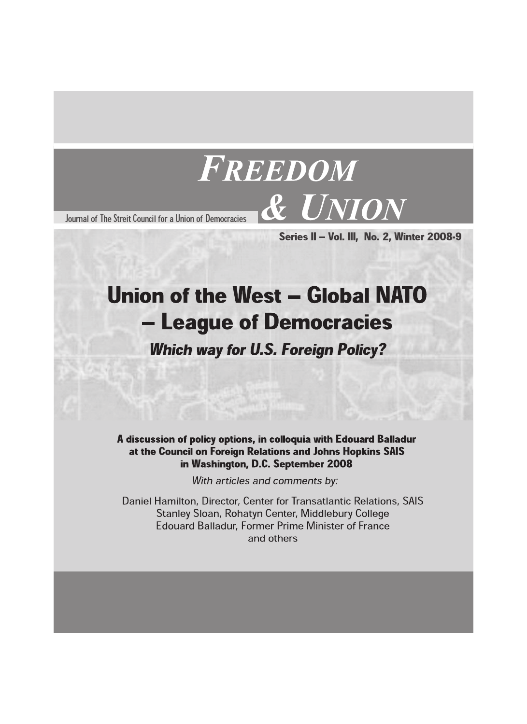

Series II - Vol. III, No. 2, Winter 2008-9

# **Union of the West - Global NATO** - League of Democracies

**Which way for U.S. Foreign Policy?** 

A discussion of policy options, in colloquia with Edouard Balladur at the Council on Foreign Relations and Johns Hopkins SAIS in Washington, D.C. September 2008

With articles and comments by:

Daniel Hamilton, Director, Center for Transatlantic Relations, SAIS Stanley Sloan, Rohatyn Center, Middlebury College Edouard Balladur, Former Prime Minister of France and others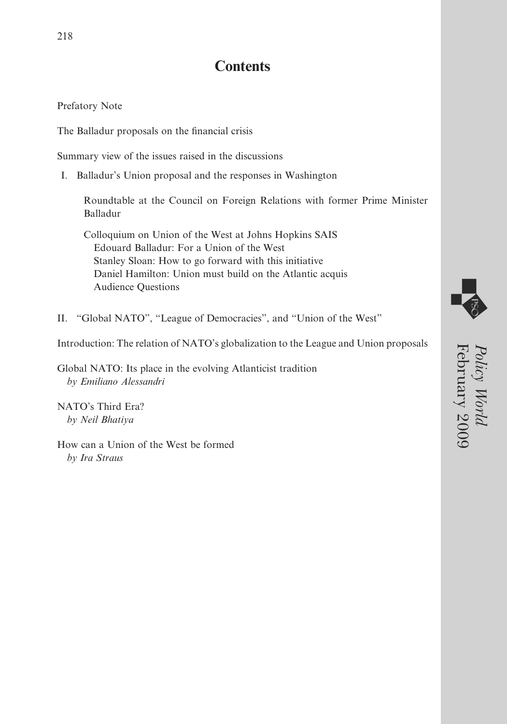## **Contents**

Prefatory Note

The Balladur proposals on the financial crisis

Summary view of the issues raised in the discussions

I. Balladur's Union proposal and the responses in Washington

Roundtable at the Council on Foreign Relations with former Prime Minister Balladur

Colloquium on Union of the West at Johns Hopkins SAIS Edouard Balladur: For a Union of the West Stanley Sloan: How to go forward with this initiative Daniel Hamilton: Union must build on the Atlantic acquis Audience Questions

II. "Global NATO", "League of Democracies", and "Union of the West"

Introduction: The relation of NATO's globalization to the League and Union proposals

Global NATO: Its place in the evolving Atlanticist tradition *by Emiliano Alessandri*

NATO's Third Era? *by Neil Bhatiya*

How can a Union of the West be formed *by Ira Straus*



February 2009 *Policy World*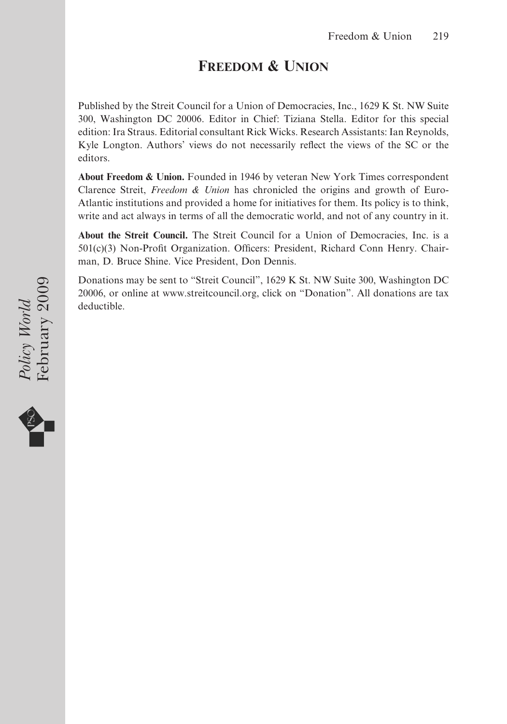# **FREEDOM & UNION**

Published by the Streit Council for a Union of Democracies, Inc., 1629 K St. NW Suite 300, Washington DC 20006. Editor in Chief: Tiziana Stella. Editor for this special edition: Ira Straus. Editorial consultant Rick Wicks. Research Assistants: Ian Reynolds, Kyle Longton. Authors' views do not necessarily reflect the views of the SC or the editors.

**About Freedom & Union.** Founded in 1946 by veteran New York Times correspondent Clarence Streit, *Freedom & Union* has chronicled the origins and growth of Euro-Atlantic institutions and provided a home for initiatives for them. Its policy is to think, write and act always in terms of all the democratic world, and not of any country in it.

**About the Streit Council.** The Streit Council for a Union of Democracies, Inc. is a 501(c)(3) Non-Profit Organization. Officers: President, Richard Conn Henry. Chairman, D. Bruce Shine. Vice President, Don Dennis.

Donations may be sent to "Streit Council", 1629 K St. NW Suite 300, Washington DC 20006, or online at [www.streitcouncil.org,](http://www.streitcouncil.org) click on "Donation". All donations are tax deductible.

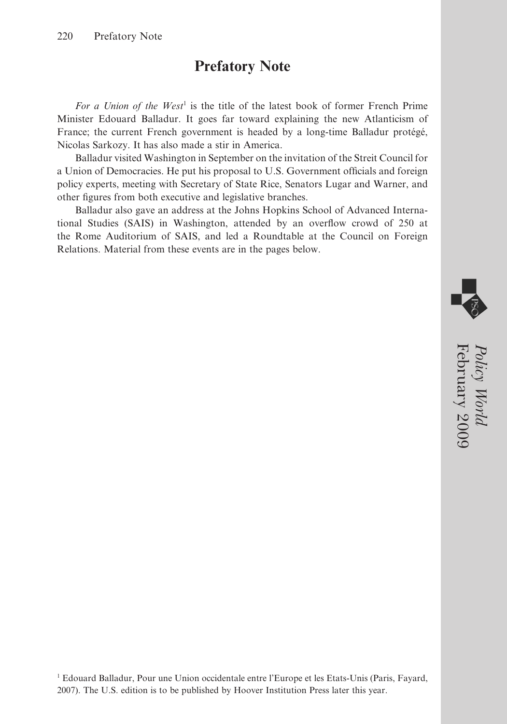# **Prefatory Note**

*For a Union of the West*<sup>1</sup> is the title of the latest book of former French Prime Minister Edouard Balladur. It goes far toward explaining the new Atlanticism of France; the current French government is headed by a long-time Balladur protégé, Nicolas Sarkozy. It has also made a stir in America.

Balladur visited Washington in September on the invitation of the Streit Council for a Union of Democracies. He put his proposal to U.S. Government officials and foreign policy experts, meeting with Secretary of State Rice, Senators Lugar and Warner, and other figures from both executive and legislative branches.

Balladur also gave an address at the Johns Hopkins School of Advanced International Studies (SAIS) in Washington, attended by an overflow crowd of 250 at the Rome Auditorium of SAIS, and led a Roundtable at the Council on Foreign Relations. Material from these events are in the pages below.



February 2009 *Policy World*

<sup>1</sup> Edouard Balladur, Pour une Union occidentale entre l'Europe et les Etats-Unis (Paris, Fayard, 2007). The U.S. edition is to be published by Hoover Institution Press later this year.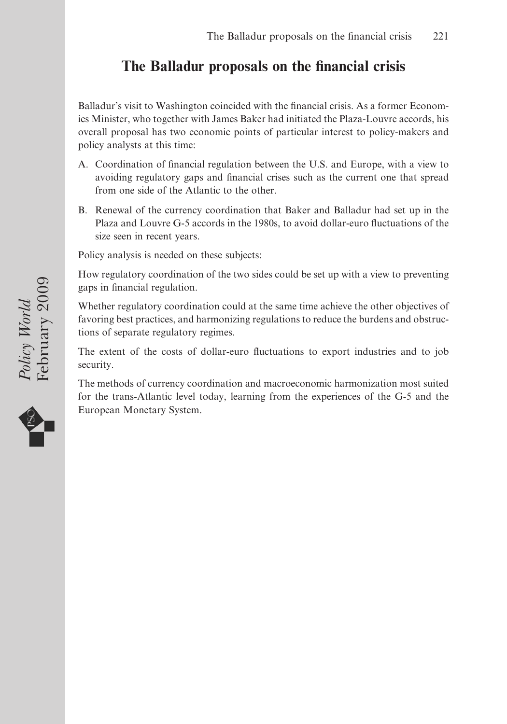# **The Balladur proposals on the financial crisis**

Balladur's visit to Washington coincided with the financial crisis. As a former Economics Minister, who together with James Baker had initiated the Plaza-Louvre accords, his overall proposal has two economic points of particular interest to policy-makers and policy analysts at this time:

- A. Coordination of financial regulation between the U.S. and Europe, with a view to avoiding regulatory gaps and financial crises such as the current one that spread from one side of the Atlantic to the other.
- B. Renewal of the currency coordination that Baker and Balladur had set up in the Plaza and Louvre G-5 accords in the 1980s, to avoid dollar-euro fluctuations of the size seen in recent years.

Policy analysis is needed on these subjects:

How regulatory coordination of the two sides could be set up with a view to preventing gaps in financial regulation.

Whether regulatory coordination could at the same time achieve the other objectives of favoring best practices, and harmonizing regulations to reduce the burdens and obstructions of separate regulatory regimes.

The extent of the costs of dollar-euro fluctuations to export industries and to job security.

The methods of currency coordination and macroeconomic harmonization most suited for the trans-Atlantic level today, learning from the experiences of the G-5 and the European Monetary System.



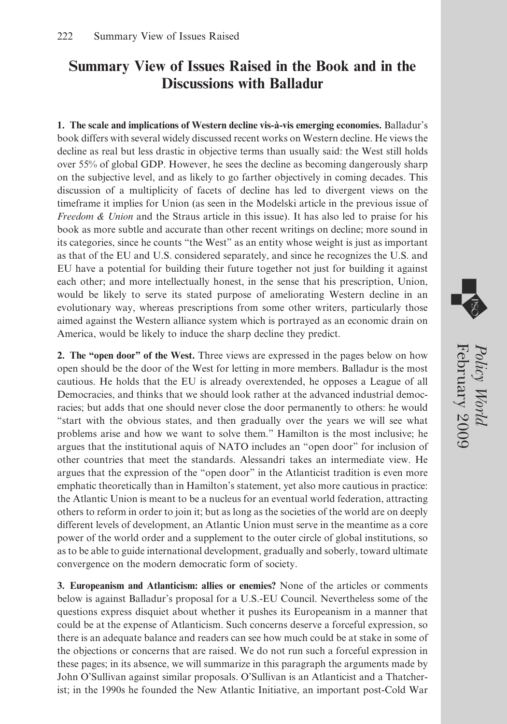### **Summary View of Issues Raised in the Book and in the Discussions with Balladur**

**1. The scale and implications of Western decline vis-à-vis emerging economies.** Balladur's book differs with several widely discussed recent works on Western decline. He views the decline as real but less drastic in objective terms than usually said: the West still holds over 55% of global GDP. However, he sees the decline as becoming dangerously sharp on the subjective level, and as likely to go farther objectively in coming decades. This discussion of a multiplicity of facets of decline has led to divergent views on the timeframe it implies for Union (as seen in the Modelski article in the previous issue of *Freedom & Union* and the Straus article in this issue). It has also led to praise for his book as more subtle and accurate than other recent writings on decline; more sound in its categories, since he counts "the West" as an entity whose weight is just as important as that of the EU and U.S. considered separately, and since he recognizes the U.S. and EU have a potential for building their future together not just for building it against each other; and more intellectually honest, in the sense that his prescription, Union, would be likely to serve its stated purpose of ameliorating Western decline in an evolutionary way, whereas prescriptions from some other writers, particularly those aimed against the Western alliance system which is portrayed as an economic drain on America, would be likely to induce the sharp decline they predict.

**2. The "open door" of the West.** Three views are expressed in the pages below on how open should be the door of the West for letting in more members. Balladur is the most cautious. He holds that the EU is already overextended, he opposes a League of all Democracies, and thinks that we should look rather at the advanced industrial democracies; but adds that one should never close the door permanently to others: he would "start with the obvious states, and then gradually over the years we will see what problems arise and how we want to solve them." Hamilton is the most inclusive; he argues that the institutional aquis of NATO includes an "open door" for inclusion of other countries that meet the standards. Alessandri takes an intermediate view. He argues that the expression of the "open door" in the Atlanticist tradition is even more emphatic theoretically than in Hamilton's statement, yet also more cautious in practice: the Atlantic Union is meant to be a nucleus for an eventual world federation, attracting others to reform in order to join it; but as long as the societies of the world are on deeply different levels of development, an Atlantic Union must serve in the meantime as a core power of the world order and a supplement to the outer circle of global institutions, so as to be able to guide international development, gradually and soberly, toward ultimate convergence on the modern democratic form of society.

**3. Europeanism and Atlanticism: allies or enemies?** None of the articles or comments below is against Balladur's proposal for a U.S.-EU Council. Nevertheless some of the questions express disquiet about whether it pushes its Europeanism in a manner that could be at the expense of Atlanticism. Such concerns deserve a forceful expression, so there is an adequate balance and readers can see how much could be at stake in some of the objections or concerns that are raised. We do not run such a forceful expression in these pages; in its absence, we will summarize in this paragraph the arguments made by John O'Sullivan against similar proposals. O'Sullivan is an Atlanticist and a Thatcherist; in the 1990s he founded the New Atlantic Initiative, an important post-Cold War *Policy World*

February 2009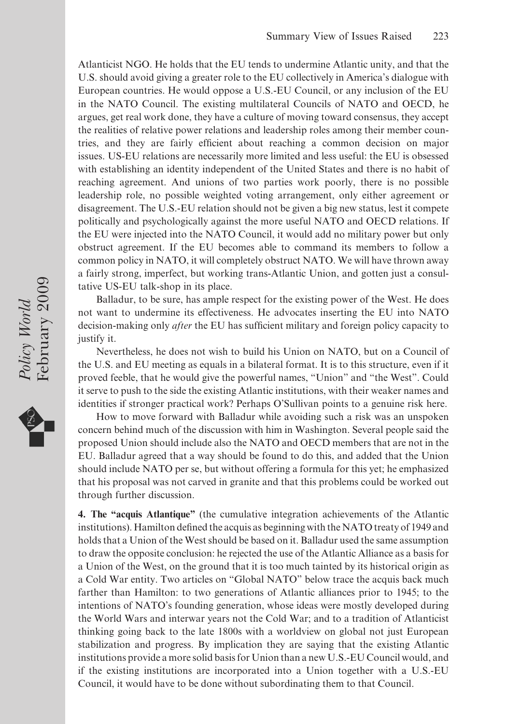Atlanticist NGO. He holds that the EU tends to undermine Atlantic unity, and that the U.S. should avoid giving a greater role to the EU collectively in America's dialogue with European countries. He would oppose a U.S.-EU Council, or any inclusion of the EU in the NATO Council. The existing multilateral Councils of NATO and OECD, he argues, get real work done, they have a culture of moving toward consensus, they accept the realities of relative power relations and leadership roles among their member countries, and they are fairly efficient about reaching a common decision on major issues. US-EU relations are necessarily more limited and less useful: the EU is obsessed with establishing an identity independent of the United States and there is no habit of reaching agreement. And unions of two parties work poorly, there is no possible leadership role, no possible weighted voting arrangement, only either agreement or disagreement. The U.S.-EU relation should not be given a big new status, lest it compete politically and psychologically against the more useful NATO and OECD relations. If the EU were injected into the NATO Council, it would add no military power but only obstruct agreement. If the EU becomes able to command its members to follow a common policy in NATO, it will completely obstruct NATO. We will have thrown away a fairly strong, imperfect, but working trans-Atlantic Union, and gotten just a consultative US-EU talk-shop in its place.

Balladur, to be sure, has ample respect for the existing power of the West. He does not want to undermine its effectiveness. He advocates inserting the EU into NATO decision-making only *after* the EU has sufficient military and foreign policy capacity to justify it.

Nevertheless, he does not wish to build his Union on NATO, but on a Council of the U.S. and EU meeting as equals in a bilateral format. It is to this structure, even if it proved feeble, that he would give the powerful names, "Union" and "the West". Could it serve to push to the side the existing Atlantic institutions, with their weaker names and identities if stronger practical work? Perhaps O'Sullivan points to a genuine risk here.

How to move forward with Balladur while avoiding such a risk was an unspoken concern behind much of the discussion with him in Washington. Several people said the proposed Union should include also the NATO and OECD members that are not in the EU. Balladur agreed that a way should be found to do this, and added that the Union should include NATO per se, but without offering a formula for this yet; he emphasized that his proposal was not carved in granite and that this problems could be worked out through further discussion.

**4. The "acquis Atlantique"** (the cumulative integration achievements of the Atlantic institutions). Hamilton defined the acquis as beginning with the NATO treaty of 1949 and holds that a Union of the West should be based on it. Balladur used the same assumption to draw the opposite conclusion: he rejected the use of the Atlantic Alliance as a basis for a Union of the West, on the ground that it is too much tainted by its historical origin as a Cold War entity. Two articles on "Global NATO" below trace the acquis back much farther than Hamilton: to two generations of Atlantic alliances prior to 1945; to the intentions of NATO's founding generation, whose ideas were mostly developed during the World Wars and interwar years not the Cold War; and to a tradition of Atlanticist thinking going back to the late 1800s with a worldview on global not just European stabilization and progress. By implication they are saying that the existing Atlantic institutions provide a more solid basis for Union than a new U.S.-EU Council would, and if the existing institutions are incorporated into a Union together with a U.S.-EU Council, it would have to be done without subordinating them to that Council.

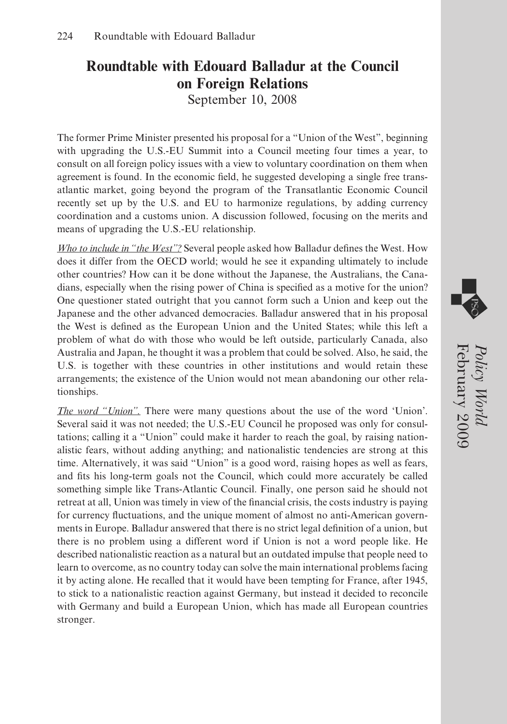# **Roundtable with Edouard Balladur at the Council on Foreign Relations**

September 10, 2008

The former Prime Minister presented his proposal for a "Union of the West", beginning with upgrading the U.S.-EU Summit into a Council meeting four times a year, to consult on all foreign policy issues with a view to voluntary coordination on them when agreement is found. In the economic field, he suggested developing a single free transatlantic market, going beyond the program of the Transatlantic Economic Council recently set up by the U.S. and EU to harmonize regulations, by adding currency coordination and a customs union. A discussion followed, focusing on the merits and means of upgrading the U.S.-EU relationship.

*Who to include in "the West"?* Several people asked how Balladur defines the West. How does it differ from the OECD world; would he see it expanding ultimately to include other countries? How can it be done without the Japanese, the Australians, the Canadians, especially when the rising power of China is specified as a motive for the union? One questioner stated outright that you cannot form such a Union and keep out the Japanese and the other advanced democracies. Balladur answered that in his proposal the West is defined as the European Union and the United States; while this left a problem of what do with those who would be left outside, particularly Canada, also Australia and Japan, he thought it was a problem that could be solved. Also, he said, the U.S. is together with these countries in other institutions and would retain these arrangements; the existence of the Union would not mean abandoning our other relationships.

*The word "Union".* There were many questions about the use of the word 'Union'. Several said it was not needed; the U.S.-EU Council he proposed was only for consultations; calling it a "Union" could make it harder to reach the goal, by raising nationalistic fears, without adding anything; and nationalistic tendencies are strong at this time. Alternatively, it was said "Union" is a good word, raising hopes as well as fears, and fits his long-term goals not the Council, which could more accurately be called something simple like Trans-Atlantic Council. Finally, one person said he should not retreat at all, Union was timely in view of the financial crisis, the costs industry is paying for currency fluctuations, and the unique moment of almost no anti-American governments in Europe. Balladur answered that there is no strict legal definition of a union, but there is no problem using a different word if Union is not a word people like. He described nationalistic reaction as a natural but an outdated impulse that people need to learn to overcome, as no country today can solve the main international problems facing it by acting alone. He recalled that it would have been tempting for France, after 1945, to stick to a nationalistic reaction against Germany, but instead it decided to reconcile with Germany and build a European Union, which has made all European countries stronger.

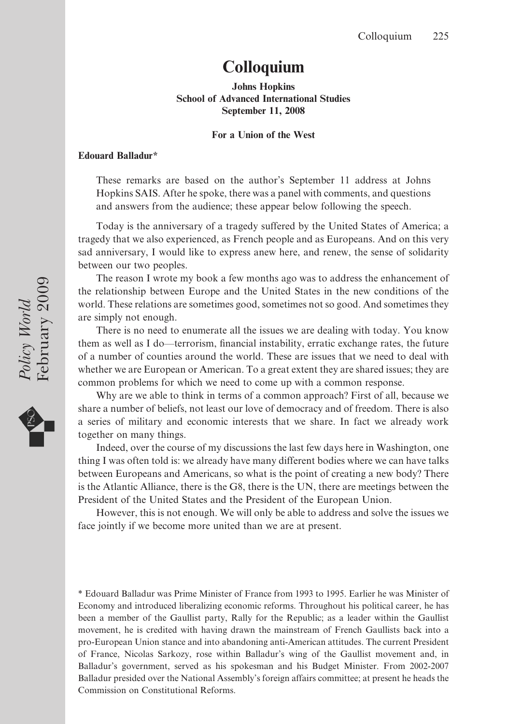# **Colloquium**

### **Johns Hopkins School of Advanced International Studies September 11, 2008**

#### **For a Union of the West**

#### **Edouard Balladur\***

These remarks are based on the author's September 11 address at Johns Hopkins SAIS. After he spoke, there was a panel with comments, and questions and answers from the audience; these appear below following the speech.

Today is the anniversary of a tragedy suffered by the United States of America; a tragedy that we also experienced, as French people and as Europeans. And on this very sad anniversary, I would like to express anew here, and renew, the sense of solidarity between our two peoples.

The reason I wrote my book a few months ago was to address the enhancement of the relationship between Europe and the United States in the new conditions of the world. These relations are sometimes good, sometimes not so good. And sometimes they are simply not enough.

There is no need to enumerate all the issues we are dealing with today. You know them as well as I do—terrorism, financial instability, erratic exchange rates, the future of a number of counties around the world. These are issues that we need to deal with whether we are European or American. To a great extent they are shared issues; they are common problems for which we need to come up with a common response.

Why are we able to think in terms of a common approach? First of all, because we share a number of beliefs, not least our love of democracy and of freedom. There is also a series of military and economic interests that we share. In fact we already work together on many things.

Indeed, over the course of my discussions the last few days here in Washington, one thing I was often told is: we already have many different bodies where we can have talks between Europeans and Americans, so what is the point of creating a new body? There is the Atlantic Alliance, there is the G8, there is the UN, there are meetings between the President of the United States and the President of the European Union.

However, this is not enough. We will only be able to address and solve the issues we face jointly if we become more united than we are at present.

\* Edouard Balladur was Prime Minister of France from 1993 to 1995. Earlier he was Minister of Economy and introduced liberalizing economic reforms. Throughout his political career, he has been a member of the Gaullist party, Rally for the Republic; as a leader within the Gaullist movement, he is credited with having drawn the mainstream of French Gaullists back into a pro-European Union stance and into abandoning anti-American attitudes. The current President of France, Nicolas Sarkozy, rose within Balladur's wing of the Gaullist movement and, in Balladur's government, served as his spokesman and his Budget Minister. From 2002-2007 Balladur presided over the National Assembly's foreign affairs committee; at present he heads the Commission on Constitutional Reforms.

Policy World<br>February 2009 February 2009 *Policy World*

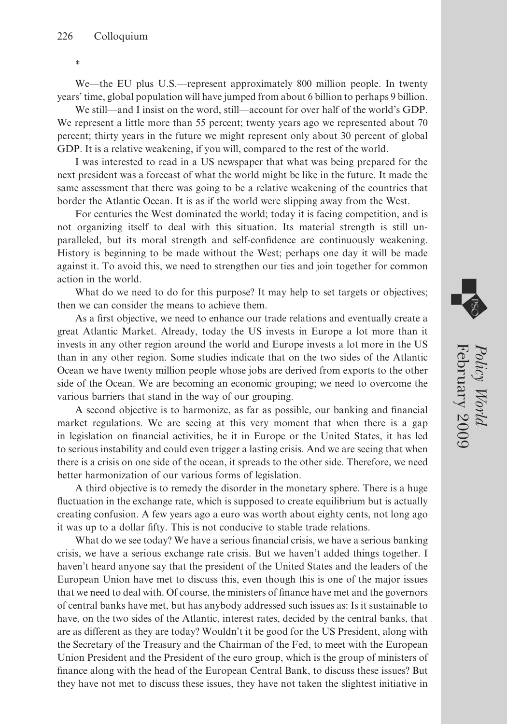\*

We—the EU plus U.S.—represent approximately 800 million people. In twenty years' time, global population will have jumped from about 6 billion to perhaps 9 billion.

We still—and I insist on the word, still—account for over half of the world's GDP. We represent a little more than 55 percent; twenty years ago we represented about 70 percent; thirty years in the future we might represent only about 30 percent of global GDP. It is a relative weakening, if you will, compared to the rest of the world.

I was interested to read in a US newspaper that what was being prepared for the next president was a forecast of what the world might be like in the future. It made the same assessment that there was going to be a relative weakening of the countries that border the Atlantic Ocean. It is as if the world were slipping away from the West.

For centuries the West dominated the world; today it is facing competition, and is not organizing itself to deal with this situation. Its material strength is still unparalleled, but its moral strength and self-confidence are continuously weakening. History is beginning to be made without the West; perhaps one day it will be made against it. To avoid this, we need to strengthen our ties and join together for common action in the world.

What do we need to do for this purpose? It may help to set targets or objectives; then we can consider the means to achieve them.

As a first objective, we need to enhance our trade relations and eventually create a great Atlantic Market. Already, today the US invests in Europe a lot more than it invests in any other region around the world and Europe invests a lot more in the US than in any other region. Some studies indicate that on the two sides of the Atlantic Ocean we have twenty million people whose jobs are derived from exports to the other side of the Ocean. We are becoming an economic grouping; we need to overcome the various barriers that stand in the way of our grouping.

A second objective is to harmonize, as far as possible, our banking and financial market regulations. We are seeing at this very moment that when there is a gap in legislation on financial activities, be it in Europe or the United States, it has led to serious instability and could even trigger a lasting crisis. And we are seeing that when there is a crisis on one side of the ocean, it spreads to the other side. Therefore, we need better harmonization of our various forms of legislation.

A third objective is to remedy the disorder in the monetary sphere. There is a huge fluctuation in the exchange rate, which is supposed to create equilibrium but is actually creating confusion. A few years ago a euro was worth about eighty cents, not long ago it was up to a dollar fifty. This is not conducive to stable trade relations.

What do we see today? We have a serious financial crisis, we have a serious banking crisis, we have a serious exchange rate crisis. But we haven't added things together. I haven't heard anyone say that the president of the United States and the leaders of the European Union have met to discuss this, even though this is one of the major issues that we need to deal with. Of course, the ministers of finance have met and the governors of central banks have met, but has anybody addressed such issues as: Is it sustainable to have, on the two sides of the Atlantic, interest rates, decided by the central banks, that are as different as they are today? Wouldn't it be good for the US President, along with the Secretary of the Treasury and the Chairman of the Fed, to meet with the European Union President and the President of the euro group, which is the group of ministers of finance along with the head of the European Central Bank, to discuss these issues? But they have not met to discuss these issues, they have not taken the slightest initiative in February 2009

*Policy World*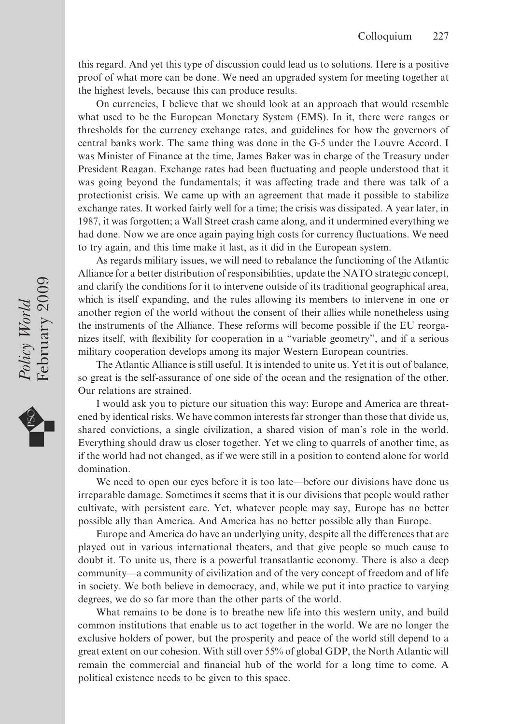this regard. And yet this type of discussion could lead us to solutions. Here is a positive proof of what more can be done. We need an upgraded system for meeting together at the highest levels, because this can produce results.

On currencies, I believe that we should look at an approach that would resemble what used to be the European Monetary System (EMS). In it, there were ranges or thresholds for the currency exchange rates, and guidelines for how the governors of central banks work. The same thing was done in the G-5 under the Louvre Accord. I was Minister of Finance at the time, James Baker was in charge of the Treasury under President Reagan. Exchange rates had been fluctuating and people understood that it was going beyond the fundamentals; it was affecting trade and there was talk of a protectionist crisis. We came up with an agreement that made it possible to stabilize exchange rates. It worked fairly well for a time; the crisis was dissipated. A year later, in 1987, it was forgotten; a Wall Street crash came along, and it undermined everything we had done. Now we are once again paying high costs for currency fluctuations. We need to try again, and this time make it last, as it did in the European system.

As regards military issues, we will need to rebalance the functioning of the Atlantic Alliance for a better distribution of responsibilities, update the NATO strategic concept, and clarify the conditions for it to intervene outside of its traditional geographical area, which is itself expanding, and the rules allowing its members to intervene in one or another region of the world without the consent of their allies while nonetheless using the instruments of the Alliance. These reforms will become possible if the EU reorganizes itself, with flexibility for cooperation in a "variable geometry", and if a serious military cooperation develops among its major Western European countries.

The Atlantic Alliance is still useful. It is intended to unite us. Yet it is out of balance, so great is the self-assurance of one side of the ocean and the resignation of the other. Our relations are strained.

I would ask you to picture our situation this way: Europe and America are threatened by identical risks. We have common interests far stronger than those that divide us, shared convictions, a single civilization, a shared vision of man's role in the world. Everything should draw us closer together. Yet we cling to quarrels of another time, as if the world had not changed, as if we were still in a position to contend alone for world domination.

We need to open our eyes before it is too late—before our divisions have done us irreparable damage. Sometimes it seems that it is our divisions that people would rather cultivate, with persistent care. Yet, whatever people may say, Europe has no better possible ally than America. And America has no better possible ally than Europe.

Europe and America do have an underlying unity, despite all the differences that are played out in various international theaters, and that give people so much cause to doubt it. To unite us, there is a powerful transatlantic economy. There is also a deep community—a community of civilization and of the very concept of freedom and of life in society. We both believe in democracy, and, while we put it into practice to varying degrees, we do so far more than the other parts of the world.

What remains to be done is to breathe new life into this western unity, and build common institutions that enable us to act together in the world. We are no longer the exclusive holders of power, but the prosperity and peace of the world still depend to a great extent on our cohesion. With still over 55% of global GDP, the North Atlantic will remain the commercial and financial hub of the world for a long time to come. A political existence needs to be given to this space.

Policy World<br>February 2009 February 2009 *Policy World*  $\overline{\phantom{a}}$ 

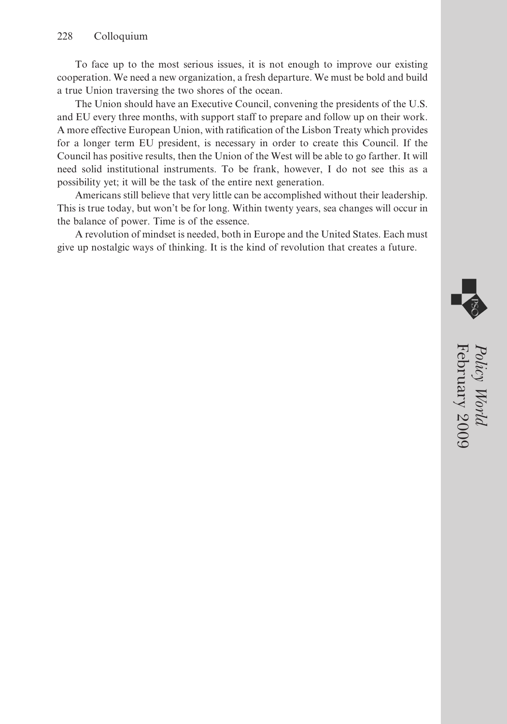To face up to the most serious issues, it is not enough to improve our existing cooperation. We need a new organization, a fresh departure. We must be bold and build a true Union traversing the two shores of the ocean.

The Union should have an Executive Council, convening the presidents of the U.S. and EU every three months, with support staff to prepare and follow up on their work. A more effective European Union, with ratification of the Lisbon Treaty which provides for a longer term EU president, is necessary in order to create this Council. If the Council has positive results, then the Union of the West will be able to go farther. It will need solid institutional instruments. To be frank, however, I do not see this as a possibility yet; it will be the task of the entire next generation.

Americans still believe that very little can be accomplished without their leadership. This is true today, but won't be for long. Within twenty years, sea changes will occur in the balance of power. Time is of the essence.

A revolution of mindset is needed, both in Europe and the United States. Each must give up nostalgic ways of thinking. It is the kind of revolution that creates a future.

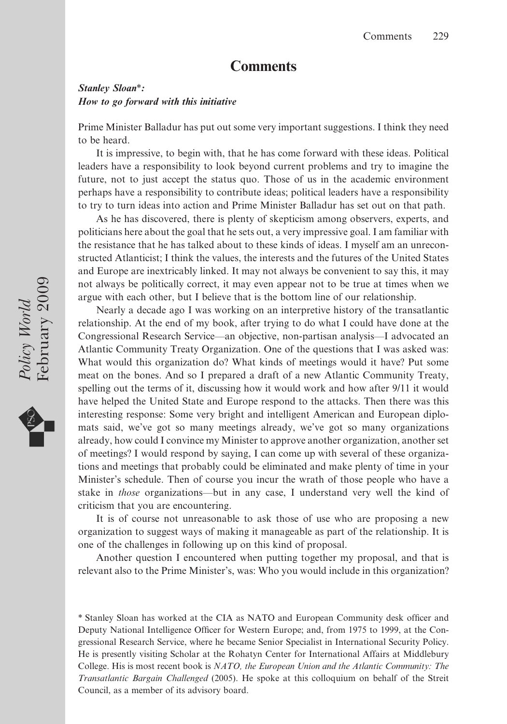### **Comments**

### *Stanley Sloan*\**: How to go forward with this initiative*

Prime Minister Balladur has put out some very important suggestions. I think they need to be heard.

It is impressive, to begin with, that he has come forward with these ideas. Political leaders have a responsibility to look beyond current problems and try to imagine the future, not to just accept the status quo. Those of us in the academic environment perhaps have a responsibility to contribute ideas; political leaders have a responsibility to try to turn ideas into action and Prime Minister Balladur has set out on that path.

As he has discovered, there is plenty of skepticism among observers, experts, and politicians here about the goal that he sets out, a very impressive goal. I am familiar with the resistance that he has talked about to these kinds of ideas. I myself am an unreconstructed Atlanticist; I think the values, the interests and the futures of the United States and Europe are inextricably linked. It may not always be convenient to say this, it may not always be politically correct, it may even appear not to be true at times when we argue with each other, but I believe that is the bottom line of our relationship.

Nearly a decade ago I was working on an interpretive history of the transatlantic relationship. At the end of my book, after trying to do what I could have done at the Congressional Research Service—an objective, non-partisan analysis—I advocated an Atlantic Community Treaty Organization. One of the questions that I was asked was: What would this organization do? What kinds of meetings would it have? Put some meat on the bones. And so I prepared a draft of a new Atlantic Community Treaty, spelling out the terms of it, discussing how it would work and how after 9/11 it would have helped the United State and Europe respond to the attacks. Then there was this interesting response: Some very bright and intelligent American and European diplomats said, we've got so many meetings already, we've got so many organizations already, how could I convince my Minister to approve another organization, another set of meetings? I would respond by saying, I can come up with several of these organizations and meetings that probably could be eliminated and make plenty of time in your Minister's schedule. Then of course you incur the wrath of those people who have a stake in *those* organizations—but in any case, I understand very well the kind of criticism that you are encountering.

It is of course not unreasonable to ask those of use who are proposing a new organization to suggest ways of making it manageable as part of the relationship. It is one of the challenges in following up on this kind of proposal.

Another question I encountered when putting together my proposal, and that is relevant also to the Prime Minister's, was: Who you would include in this organization?



<sup>\*</sup> Stanley Sloan has worked at the CIA as NATO and European Community desk officer and Deputy National Intelligence Officer for Western Europe; and, from 1975 to 1999, at the Congressional Research Service, where he became Senior Specialist in International Security Policy. He is presently visiting Scholar at the Rohatyn Center for International Affairs at Middlebury College. His is most recent book is *NATO, the European Union and the Atlantic Community: The Transatlantic Bargain Challenged* (2005). He spoke at this colloquium on behalf of the Streit Council, as a member of its advisory board.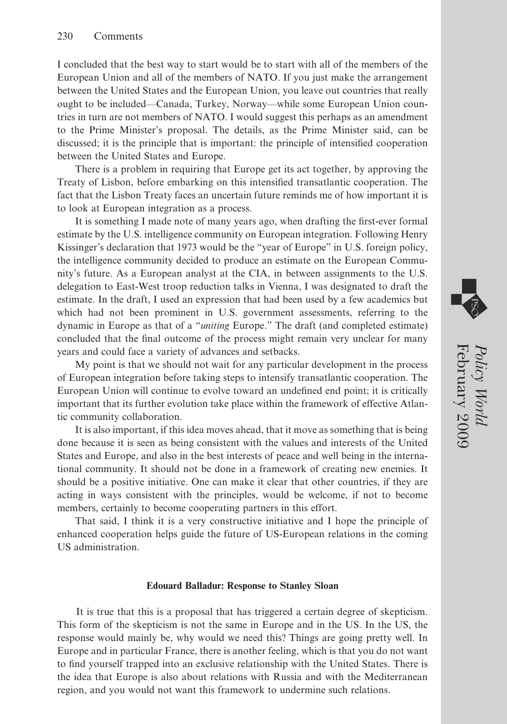I concluded that the best way to start would be to start with all of the members of the European Union and all of the members of NATO. If you just make the arrangement between the United States and the European Union, you leave out countries that really ought to be included—Canada, Turkey, Norway—while some European Union countries in turn are not members of NATO. I would suggest this perhaps as an amendment to the Prime Minister's proposal. The details, as the Prime Minister said, can be discussed; it is the principle that is important: the principle of intensified cooperation between the United States and Europe.

There is a problem in requiring that Europe get its act together, by approving the Treaty of Lisbon, before embarking on this intensified transatlantic cooperation. The fact that the Lisbon Treaty faces an uncertain future reminds me of how important it is to look at European integration as a process.

It is something I made note of many years ago, when drafting the first-ever formal estimate by the U.S. intelligence community on European integration. Following Henry Kissinger's declaration that 1973 would be the "year of Europe" in U.S. foreign policy, the intelligence community decided to produce an estimate on the European Community's future. As a European analyst at the CIA, in between assignments to the U.S. delegation to East-West troop reduction talks in Vienna, I was designated to draft the estimate. In the draft, I used an expression that had been used by a few academics but which had not been prominent in U.S. government assessments, referring to the dynamic in Europe as that of a "*uniting* Europe." The draft (and completed estimate) concluded that the final outcome of the process might remain very unclear for many years and could face a variety of advances and setbacks.

My point is that we should not wait for any particular development in the process of European integration before taking steps to intensify transatlantic cooperation. The European Union will continue to evolve toward an undefined end point; it is critically important that its further evolution take place within the framework of effective Atlantic community collaboration.

It is also important, if this idea moves ahead, that it move as something that is being done because it is seen as being consistent with the values and interests of the United States and Europe, and also in the best interests of peace and well being in the international community. It should not be done in a framework of creating new enemies. It should be a positive initiative. One can make it clear that other countries, if they are acting in ways consistent with the principles, would be welcome, if not to become members, certainly to become cooperating partners in this effort.

That said, I think it is a very constructive initiative and I hope the principle of enhanced cooperation helps guide the future of US-European relations in the coming US administration.

#### **Edouard Balladur: Response to Stanley Sloan**

It is true that this is a proposal that has triggered a certain degree of skepticism. This form of the skepticism is not the same in Europe and in the US. In the US, the response would mainly be, why would we need this? Things are going pretty well. In Europe and in particular France, there is another feeling, which is that you do not want to find yourself trapped into an exclusive relationship with the United States. There is the idea that Europe is also about relations with Russia and with the Mediterranean region, and you would not want this framework to undermine such relations.

February 2009

*Policy World*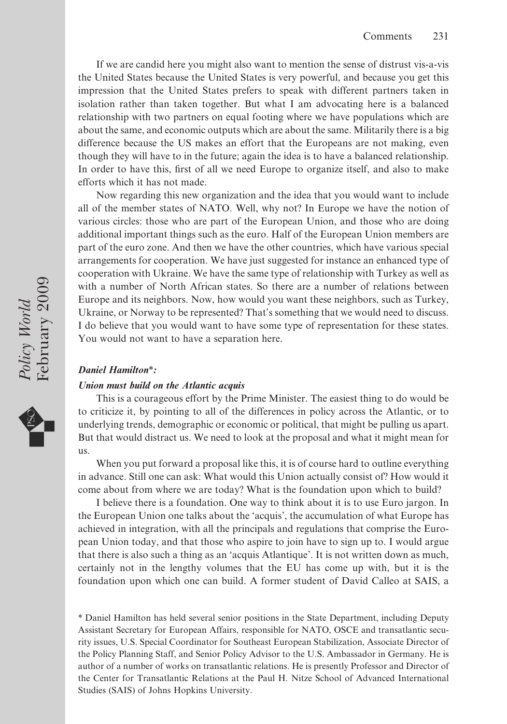If we are candid here you might also want to mention the sense of distrust vis-a-vis the United States because the United States is very powerful, and because you get this impression that the United States prefers to speak with different partners taken in isolation rather than taken together. But what I am advocating here is a balanced relationship with two partners on equal footing where we have populations which are about the same, and economic outputs which are about the same. Militarily there is a big difference because the US makes an effort that the Europeans are not making, even though they will have to in the future; again the idea is to have a balanced relationship. In order to have this, first of all we need Europe to organize itself, and also to make efforts which it has not made.

Now regarding this new organization and the idea that you would want to include all of the member states of NATO. Well, why not? In Europe we have the notion of various circles: those who are part of the European Union, and those who are doing additional important things such as the euro. Half of the European Union members are part of the euro zone. And then we have the other countries, which have various special arrangements for cooperation. We have just suggested for instance an enhanced type of cooperation with Ukraine. We have the same type of relationship with Turkey as well as with a number of North African states. So there are a number of relations between Europe and its neighbors. Now, how would you want these neighbors, such as Turkey, Ukraine, or Norway to be represented? That's something that we would need to discuss. I do believe that you would want to have some type of representation for these states. You would not want to have a separation here.

#### *Daniel Hamilton*\**:*

#### *Union must build on the Atlantic acquis*

This is a courageous effort by the Prime Minister. The easiest thing to do would be to criticize it, by pointing to all of the differences in policy across the Atlantic, or to underlying trends, demographic or economic or political, that might be pulling us apart. But that would distract us. We need to look at the proposal and what it might mean for us.

When you put forward a proposal like this, it is of course hard to outline everything in advance. Still one can ask: What would this Union actually consist of? How would it come about from where we are today? What is the foundation upon which to build?

I believe there is a foundation. One way to think about it is to use Euro jargon. In the European Union one talks about the 'acquis', the accumulation of what Europe has achieved in integration, with all the principals and regulations that comprise the European Union today, and that those who aspire to join have to sign up to. I would argue that there is also such a thing as an 'acquis Atlantique'. It is not written down as much, certainly not in the lengthy volumes that the EU has come up with, but it is the foundation upon which one can build. A former student of David Calleo at SAIS, a

\* Daniel Hamilton has held several senior positions in the State Department, including Deputy Assistant Secretary for European Affairs, responsible for NATO, OSCE and transatlantic security issues, U.S. Special Coordinator for Southeast European Stabilization, Associate Director of the Policy Planning Staff, and Senior Policy Advisor to the U.S. Ambassador in Germany. He is author of a number of works on transatlantic relations. He is presently Professor and Director of the Center for Transatlantic Relations at the Paul H. Nitze School of Advanced International Studies (SAIS) of Johns Hopkins University.

Policy World<br>February 2009 February 2009 *Policy World*

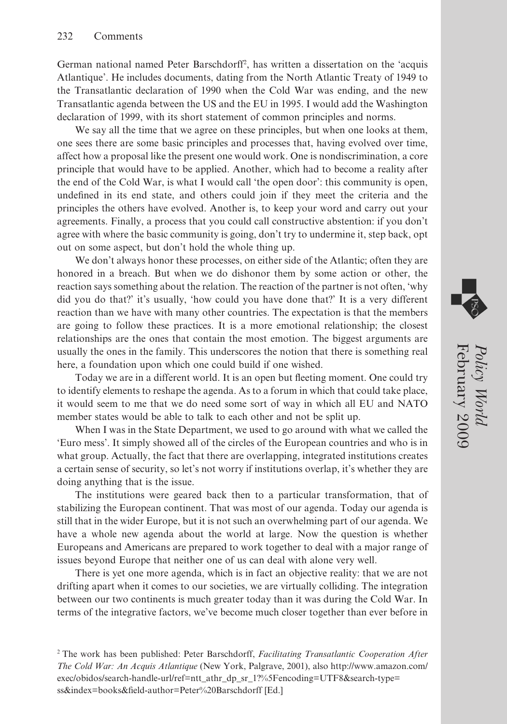German national named Peter Barschdorff<sup>2</sup>, has written a dissertation on the 'acquis Atlantique'. He includes documents, dating from the North Atlantic Treaty of 1949 to the Transatlantic declaration of 1990 when the Cold War was ending, and the new Transatlantic agenda between the US and the EU in 1995. I would add the Washington declaration of 1999, with its short statement of common principles and norms.

We say all the time that we agree on these principles, but when one looks at them, one sees there are some basic principles and processes that, having evolved over time, affect how a proposal like the present one would work. One is nondiscrimination, a core principle that would have to be applied. Another, which had to become a reality after the end of the Cold War, is what I would call 'the open door': this community is open, undefined in its end state, and others could join if they meet the criteria and the principles the others have evolved. Another is, to keep your word and carry out your agreements. Finally, a process that you could call constructive abstention: if you don't agree with where the basic community is going, don't try to undermine it, step back, opt out on some aspect, but don't hold the whole thing up.

We don't always honor these processes, on either side of the Atlantic; often they are honored in a breach. But when we do dishonor them by some action or other, the reaction says something about the relation. The reaction of the partner is not often, 'why did you do that?' it's usually, 'how could you have done that?' It is a very different reaction than we have with many other countries. The expectation is that the members are going to follow these practices. It is a more emotional relationship; the closest relationships are the ones that contain the most emotion. The biggest arguments are usually the ones in the family. This underscores the notion that there is something real here, a foundation upon which one could build if one wished.

Today we are in a different world. It is an open but fleeting moment. One could try to identify elements to reshape the agenda. As to a forum in which that could take place, it would seem to me that we do need some sort of way in which all EU and NATO member states would be able to talk to each other and not be split up.

When I was in the State Department, we used to go around with what we called the 'Euro mess'. It simply showed all of the circles of the European countries and who is in what group. Actually, the fact that there are overlapping, integrated institutions creates a certain sense of security, so let's not worry if institutions overlap, it's whether they are doing anything that is the issue.

The institutions were geared back then to a particular transformation, that of stabilizing the European continent. That was most of our agenda. Today our agenda is still that in the wider Europe, but it is not such an overwhelming part of our agenda. We have a whole new agenda about the world at large. Now the question is whether Europeans and Americans are prepared to work together to deal with a major range of issues beyond Europe that neither one of us can deal with alone very well.

There is yet one more agenda, which is in fact an objective reality: that we are not drifting apart when it comes to our societies, we are virtually colliding. The integration between our two continents is much greater today than it was during the Cold War. In terms of the integrative factors, we've become much closer together than ever before in



<sup>2</sup> The work has been published: Peter Barschdorff, *Facilitating Transatlantic Cooperation After The Cold War: An Acquis Atlantique* (New York, Palgrave, 2001), also [http://www.amazon.com/](http://www.amazon.com) exec/obidos/search-handle-url/ref=ntt\_athr\_dp\_sr\_1?%5Fencoding=UTF8&search-type= ss&index=books&field-author=Peter%20Barschdorff [Ed.]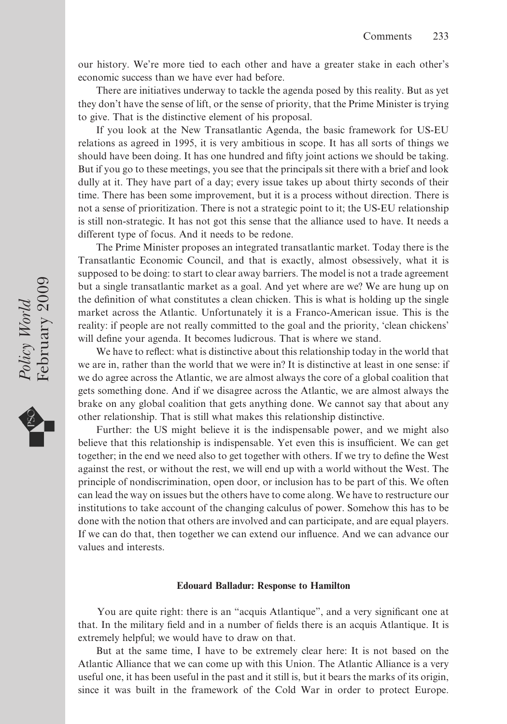our history. We're more tied to each other and have a greater stake in each other's economic success than we have ever had before.

There are initiatives underway to tackle the agenda posed by this reality. But as yet they don't have the sense of lift, or the sense of priority, that the Prime Minister is trying to give. That is the distinctive element of his proposal.

If you look at the New Transatlantic Agenda, the basic framework for US-EU relations as agreed in 1995, it is very ambitious in scope. It has all sorts of things we should have been doing. It has one hundred and fifty joint actions we should be taking. But if you go to these meetings, you see that the principals sit there with a brief and look dully at it. They have part of a day; every issue takes up about thirty seconds of their time. There has been some improvement, but it is a process without direction. There is not a sense of prioritization. There is not a strategic point to it; the US-EU relationship is still non-strategic. It has not got this sense that the alliance used to have. It needs a different type of focus. And it needs to be redone.

The Prime Minister proposes an integrated transatlantic market. Today there is the Transatlantic Economic Council, and that is exactly, almost obsessively, what it is supposed to be doing: to start to clear away barriers. The model is not a trade agreement but a single transatlantic market as a goal. And yet where are we? We are hung up on the definition of what constitutes a clean chicken. This is what is holding up the single market across the Atlantic. Unfortunately it is a Franco-American issue. This is the reality: if people are not really committed to the goal and the priority, 'clean chickens' will define your agenda. It becomes ludicrous. That is where we stand.

We have to reflect: what is distinctive about this relationship today in the world that we are in, rather than the world that we were in? It is distinctive at least in one sense: if we do agree across the Atlantic, we are almost always the core of a global coalition that gets something done. And if we disagree across the Atlantic, we are almost always the brake on any global coalition that gets anything done. We cannot say that about any other relationship. That is still what makes this relationship distinctive.

Further: the US might believe it is the indispensable power, and we might also believe that this relationship is indispensable. Yet even this is insufficient. We can get together; in the end we need also to get together with others. If we try to define the West against the rest, or without the rest, we will end up with a world without the West. The principle of nondiscrimination, open door, or inclusion has to be part of this. We often can lead the way on issues but the others have to come along. We have to restructure our institutions to take account of the changing calculus of power. Somehow this has to be done with the notion that others are involved and can participate, and are equal players. If we can do that, then together we can extend our influence. And we can advance our values and interests.

#### **Edouard Balladur: Response to Hamilton**

You are quite right: there is an "acquis Atlantique", and a very significant one at that. In the military field and in a number of fields there is an acquis Atlantique. It is extremely helpful; we would have to draw on that.

But at the same time, I have to be extremely clear here: It is not based on the Atlantic Alliance that we can come up with this Union. The Atlantic Alliance is a very useful one, it has been useful in the past and it still is, but it bears the marks of its origin, since it was built in the framework of the Cold War in order to protect Europe.

Policy World<br>February 2009 February 2009 *Policy World*

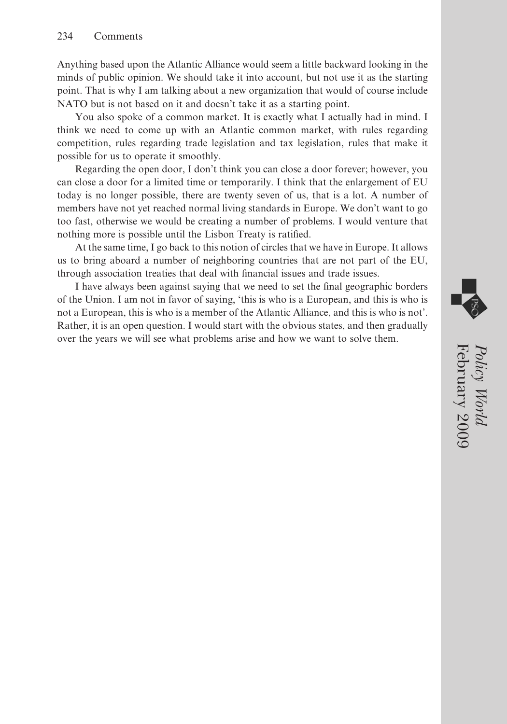Anything based upon the Atlantic Alliance would seem a little backward looking in the minds of public opinion. We should take it into account, but not use it as the starting point. That is why I am talking about a new organization that would of course include NATO but is not based on it and doesn't take it as a starting point.

You also spoke of a common market. It is exactly what I actually had in mind. I think we need to come up with an Atlantic common market, with rules regarding competition, rules regarding trade legislation and tax legislation, rules that make it possible for us to operate it smoothly.

Regarding the open door, I don't think you can close a door forever; however, you can close a door for a limited time or temporarily. I think that the enlargement of EU today is no longer possible, there are twenty seven of us, that is a lot. A number of members have not yet reached normal living standards in Europe. We don't want to go too fast, otherwise we would be creating a number of problems. I would venture that nothing more is possible until the Lisbon Treaty is ratified.

At the same time, I go back to this notion of circles that we have in Europe. It allows us to bring aboard a number of neighboring countries that are not part of the EU, through association treaties that deal with financial issues and trade issues.

I have always been against saying that we need to set the final geographic borders of the Union. I am not in favor of saying, 'this is who is a European, and this is who is not a European, this is who is a member of the Atlantic Alliance, and this is who is not'. Rather, it is an open question. I would start with the obvious states, and then gradually over the years we will see what problems arise and how we want to solve them.



February 2009 *Policy World*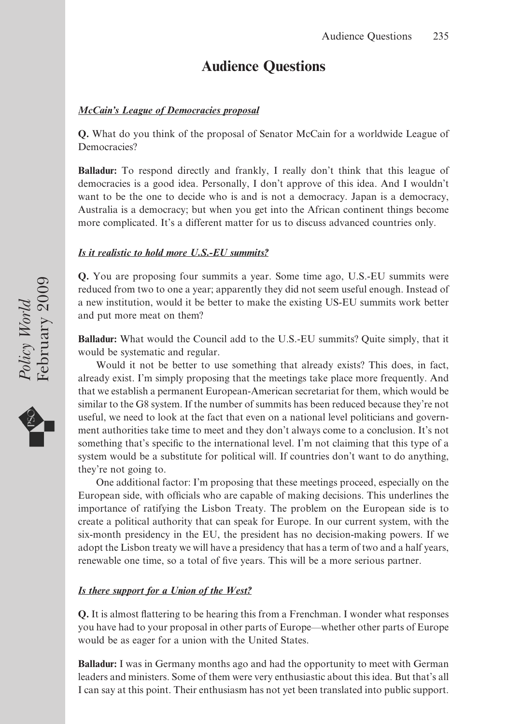# **Audience Questions**

### *McCain's League of Democracies proposal*

**Q.** What do you think of the proposal of Senator McCain for a worldwide League of Democracies?

**Balladur:** To respond directly and frankly, I really don't think that this league of democracies is a good idea. Personally, I don't approve of this idea. And I wouldn't want to be the one to decide who is and is not a democracy. Japan is a democracy, Australia is a democracy; but when you get into the African continent things become more complicated. It's a different matter for us to discuss advanced countries only.

### *Is it realistic to hold more U.S.-EU summits?*

**Q.** You are proposing four summits a year. Some time ago, U.S.-EU summits were reduced from two to one a year; apparently they did not seem useful enough. Instead of a new institution, would it be better to make the existing US-EU summits work better and put more meat on them?

**Balladur:** What would the Council add to the U.S.-EU summits? Quite simply, that it would be systematic and regular.

Would it not be better to use something that already exists? This does, in fact, already exist. I'm simply proposing that the meetings take place more frequently. And that we establish a permanent European-American secretariat for them, which would be similar to the G8 system. If the number of summits has been reduced because they're not useful, we need to look at the fact that even on a national level politicians and government authorities take time to meet and they don't always come to a conclusion. It's not something that's specific to the international level. I'm not claiming that this type of a system would be a substitute for political will. If countries don't want to do anything, they're not going to.

One additional factor: I'm proposing that these meetings proceed, especially on the European side, with officials who are capable of making decisions. This underlines the importance of ratifying the Lisbon Treaty. The problem on the European side is to create a political authority that can speak for Europe. In our current system, with the six-month presidency in the EU, the president has no decision-making powers. If we adopt the Lisbon treaty we will have a presidency that has a term of two and a half years, renewable one time, so a total of five years. This will be a more serious partner.

### *Is there support for a Union of the West?*

**Q.** It is almost flattering to be hearing this from a Frenchman. I wonder what responses you have had to your proposal in other parts of Europe—whether other parts of Europe would be as eager for a union with the United States.

**Balladur:** I was in Germany months ago and had the opportunity to meet with German leaders and ministers. Some of them were very enthusiastic about this idea. But that's all I can say at this point. Their enthusiasm has not yet been translated into public support.

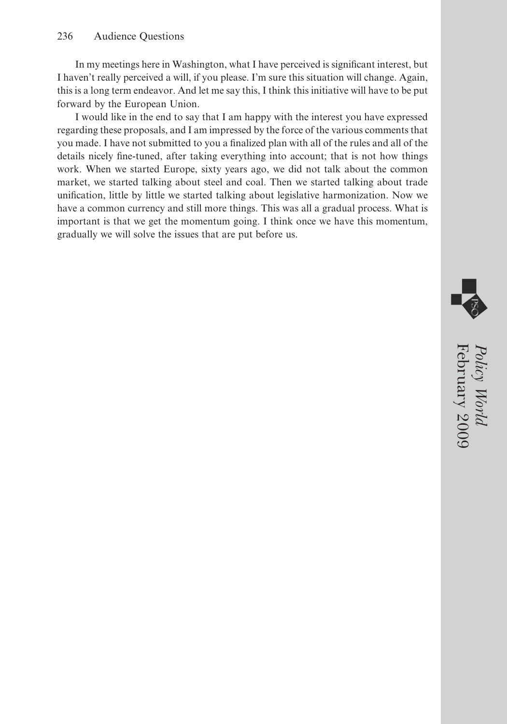In my meetings here in Washington, what I have perceived is significant interest, but I haven't really perceived a will, if you please. I'm sure this situation will change. Again, this is a long term endeavor. And let me say this, I think this initiative will have to be put forward by the European Union.

I would like in the end to say that I am happy with the interest you have expressed regarding these proposals, and I am impressed by the force of the various comments that you made. I have not submitted to you a finalized plan with all of the rules and all of the details nicely fine-tuned, after taking everything into account; that is not how things work. When we started Europe, sixty years ago, we did not talk about the common market, we started talking about steel and coal. Then we started talking about trade unification, little by little we started talking about legislative harmonization. Now we have a common currency and still more things. This was all a gradual process. What is important is that we get the momentum going. I think once we have this momentum, gradually we will solve the issues that are put before us.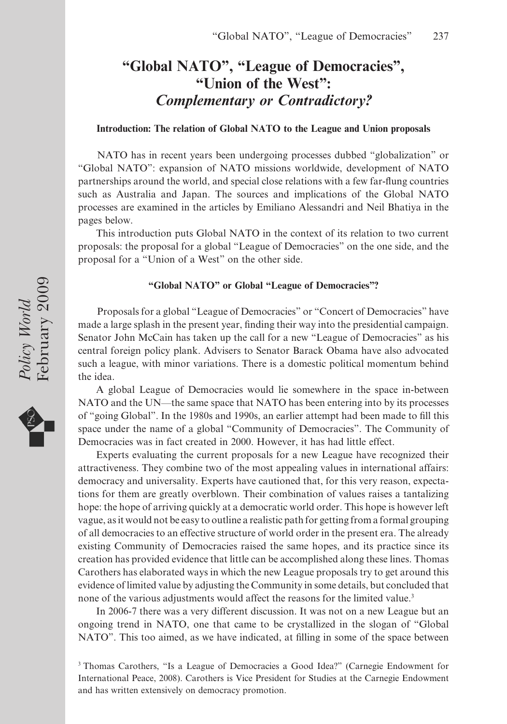# **"Global NATO", "League of Democracies", "Union of the West":** *Complementary or Contradictory?*

**Introduction: The relation of Global NATO to the League and Union proposals**

NATO has in recent years been undergoing processes dubbed "globalization" or "Global NATO": expansion of NATO missions worldwide, development of NATO partnerships around the world, and special close relations with a few far-flung countries such as Australia and Japan. The sources and implications of the Global NATO processes are examined in the articles by Emiliano Alessandri and Neil Bhatiya in the pages below.

This introduction puts Global NATO in the context of its relation to two current proposals: the proposal for a global "League of Democracies" on the one side, and the proposal for a "Union of a West" on the other side.

#### **"Global NATO" or Global "League of Democracies"?**

Proposals for a global "League of Democracies" or "Concert of Democracies" have made a large splash in the present year, finding their way into the presidential campaign. Senator John McCain has taken up the call for a new "League of Democracies" as his central foreign policy plank. Advisers to Senator Barack Obama have also advocated such a league, with minor variations. There is a domestic political momentum behind the idea.

A global League of Democracies would lie somewhere in the space in-between NATO and the UN—the same space that NATO has been entering into by its processes of "going Global". In the 1980s and 1990s, an earlier attempt had been made to fill this space under the name of a global "Community of Democracies". The Community of Democracies was in fact created in 2000. However, it has had little effect.

Experts evaluating the current proposals for a new League have recognized their attractiveness. They combine two of the most appealing values in international affairs: democracy and universality. Experts have cautioned that, for this very reason, expectations for them are greatly overblown. Their combination of values raises a tantalizing hope: the hope of arriving quickly at a democratic world order. This hope is however left vague, as it would not be easy to outline a realistic path for getting from a formal grouping of all democracies to an effective structure of world order in the present era. The already existing Community of Democracies raised the same hopes, and its practice since its creation has provided evidence that little can be accomplished along these lines. Thomas Carothers has elaborated ways in which the new League proposals try to get around this evidence of limited value by adjusting the Community in some details, but concluded that none of the various adjustments would affect the reasons for the limited value.<sup>3</sup>

In 2006-7 there was a very different discussion. It was not on a new League but an ongoing trend in NATO, one that came to be crystallized in the slogan of "Global NATO". This too aimed, as we have indicated, at filling in some of the space between

<sup>3</sup> Thomas Carothers, "Is a League of Democracies a Good Idea?" (Carnegie Endowment for International Peace, 2008). Carothers is Vice President for Studies at the Carnegie Endowment and has written extensively on democracy promotion.

Policy World<br>February 2009 February 2009 *Policy World*

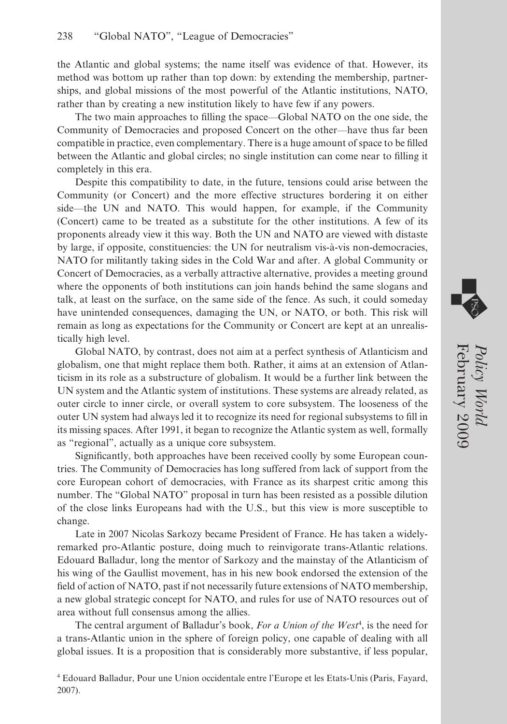the Atlantic and global systems; the name itself was evidence of that. However, its method was bottom up rather than top down: by extending the membership, partnerships, and global missions of the most powerful of the Atlantic institutions, NATO, rather than by creating a new institution likely to have few if any powers.

The two main approaches to filling the space—Global NATO on the one side, the Community of Democracies and proposed Concert on the other—have thus far been compatible in practice, even complementary. There is a huge amount of space to be filled between the Atlantic and global circles; no single institution can come near to filling it completely in this era.

Despite this compatibility to date, in the future, tensions could arise between the Community (or Concert) and the more effective structures bordering it on either side—the UN and NATO. This would happen, for example, if the Community (Concert) came to be treated as a substitute for the other institutions. A few of its proponents already view it this way. Both the UN and NATO are viewed with distaste by large, if opposite, constituencies: the UN for neutralism vis-à-vis non-democracies, NATO for militantly taking sides in the Cold War and after. A global Community or Concert of Democracies, as a verbally attractive alternative, provides a meeting ground where the opponents of both institutions can join hands behind the same slogans and talk, at least on the surface, on the same side of the fence. As such, it could someday have unintended consequences, damaging the UN, or NATO, or both. This risk will remain as long as expectations for the Community or Concert are kept at an unrealistically high level.

Global NATO, by contrast, does not aim at a perfect synthesis of Atlanticism and globalism, one that might replace them both. Rather, it aims at an extension of Atlanticism in its role as a substructure of globalism. It would be a further link between the UN system and the Atlantic system of institutions. These systems are already related, as outer circle to inner circle, or overall system to core subsystem. The looseness of the outer UN system had always led it to recognize its need for regional subsystems to fill in its missing spaces. After 1991, it began to recognize the Atlantic system as well, formally as "regional", actually as a unique core subsystem.

Significantly, both approaches have been received coolly by some European countries. The Community of Democracies has long suffered from lack of support from the core European cohort of democracies, with France as its sharpest critic among this number. The "Global NATO" proposal in turn has been resisted as a possible dilution of the close links Europeans had with the U.S., but this view is more susceptible to change.

Late in 2007 Nicolas Sarkozy became President of France. He has taken a widelyremarked pro-Atlantic posture, doing much to reinvigorate trans-Atlantic relations. Edouard Balladur, long the mentor of Sarkozy and the mainstay of the Atlanticism of his wing of the Gaullist movement, has in his new book endorsed the extension of the field of action of NATO, past if not necessarily future extensions of NATO membership, a new global strategic concept for NATO, and rules for use of NATO resources out of area without full consensus among the allies.

The central argument of Balladur's book, *For a Union of the West<sup>4</sup>*, is the need for a trans-Atlantic union in the sphere of foreign policy, one capable of dealing with all global issues. It is a proposition that is considerably more substantive, if less popular,

<sup>4</sup> Edouard Balladur, Pour une Union occidentale entre l'Europe et les Etats-Unis (Paris, Fayard, 2007).

February 2009

*Policy World*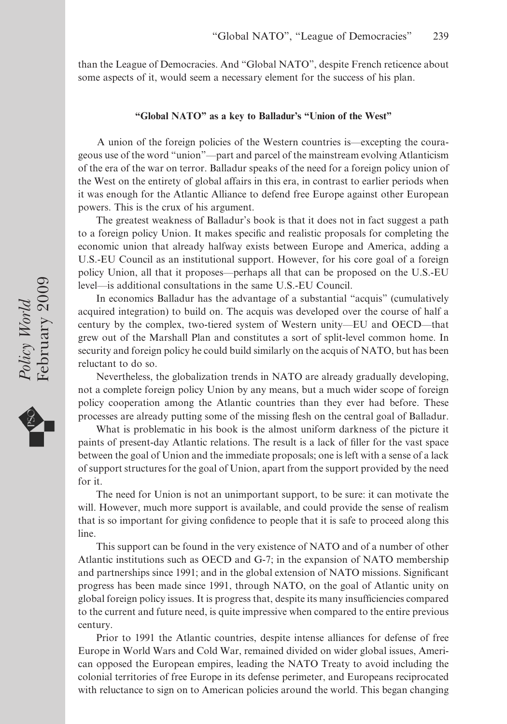than the League of Democracies. And "Global NATO", despite French reticence about some aspects of it, would seem a necessary element for the success of his plan.

#### **"Global NATO" as a key to Balladur's "Union of the West"**

A union of the foreign policies of the Western countries is—excepting the courageous use of the word "union"—part and parcel of the mainstream evolving Atlanticism of the era of the war on terror. Balladur speaks of the need for a foreign policy union of the West on the entirety of global affairs in this era, in contrast to earlier periods when it was enough for the Atlantic Alliance to defend free Europe against other European powers. This is the crux of his argument.

The greatest weakness of Balladur's book is that it does not in fact suggest a path to a foreign policy Union. It makes specific and realistic proposals for completing the economic union that already halfway exists between Europe and America, adding a U.S.-EU Council as an institutional support. However, for his core goal of a foreign policy Union, all that it proposes—perhaps all that can be proposed on the U.S.-EU level—is additional consultations in the same U.S.-EU Council.

In economics Balladur has the advantage of a substantial "acquis" (cumulatively acquired integration) to build on. The acquis was developed over the course of half a century by the complex, two-tiered system of Western unity—EU and OECD—that grew out of the Marshall Plan and constitutes a sort of split-level common home. In security and foreign policy he could build similarly on the acquis of NATO, but has been reluctant to do so.

Nevertheless, the globalization trends in NATO are already gradually developing, not a complete foreign policy Union by any means, but a much wider scope of foreign policy cooperation among the Atlantic countries than they ever had before. These processes are already putting some of the missing flesh on the central goal of Balladur.

What is problematic in his book is the almost uniform darkness of the picture it paints of present-day Atlantic relations. The result is a lack of filler for the vast space between the goal of Union and the immediate proposals; one is left with a sense of a lack of support structures for the goal of Union, apart from the support provided by the need for it.

The need for Union is not an unimportant support, to be sure: it can motivate the will. However, much more support is available, and could provide the sense of realism that is so important for giving confidence to people that it is safe to proceed along this line.

This support can be found in the very existence of NATO and of a number of other Atlantic institutions such as OECD and G-7; in the expansion of NATO membership and partnerships since 1991; and in the global extension of NATO missions. Significant progress has been made since 1991, through NATO, on the goal of Atlantic unity on global foreign policy issues. It is progress that, despite its many insufficiencies compared to the current and future need, is quite impressive when compared to the entire previous century.

Prior to 1991 the Atlantic countries, despite intense alliances for defense of free Europe in World Wars and Cold War, remained divided on wider global issues, American opposed the European empires, leading the NATO Treaty to avoid including the colonial territories of free Europe in its defense perimeter, and Europeans reciprocated with reluctance to sign on to American policies around the world. This began changing

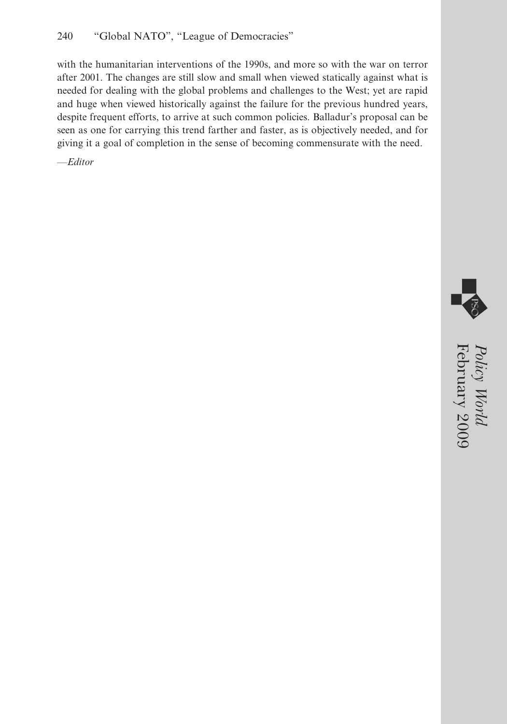with the humanitarian interventions of the 1990s, and more so with the war on terror after 2001. The changes are still slow and small when viewed statically against what is needed for dealing with the global problems and challenges to the West; yet are rapid and huge when viewed historically against the failure for the previous hundred years, despite frequent efforts, to arrive at such common policies. Balladur's proposal can be seen as one for carrying this trend farther and faster, as is objectively needed, and for giving it a goal of completion in the sense of becoming commensurate with the need.

*—Editor*



February 2009 *Policy World*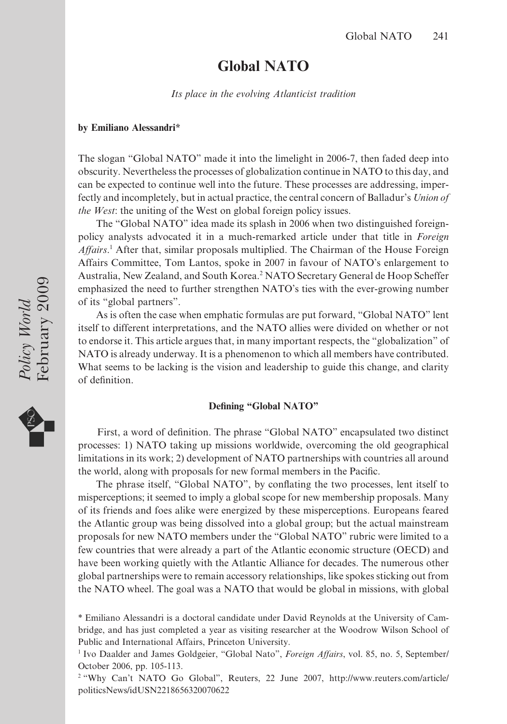### **Global NATO**

*Its place in the evolving Atlanticist tradition*

#### **by Emiliano Alessandri\***

The slogan "Global NATO" made it into the limelight in 2006-7, then faded deep into obscurity. Nevertheless the processes of globalization continue in NATO to this day, and can be expected to continue well into the future. These processes are addressing, imperfectly and incompletely, but in actual practice, the central concern of Balladur's *Union of the West*: the uniting of the West on global foreign policy issues.

The "Global NATO" idea made its splash in 2006 when two distinguished foreignpolicy analysts advocated it in a much-remarked article under that title in *Foreign* Affairs.<sup>1</sup> After that, similar proposals multiplied. The Chairman of the House Foreign Affairs Committee, Tom Lantos, spoke in 2007 in favour of NATO's enlargement to Australia, New Zealand, and South Korea.<sup>2</sup> NATO Secretary General de Hoop Scheffer emphasized the need to further strengthen NATO's ties with the ever-growing number of its "global partners".

As is often the case when emphatic formulas are put forward, "Global NATO" lent itself to different interpretations, and the NATO allies were divided on whether or not to endorse it. This article argues that, in many important respects, the "globalization" of NATO is already underway. It is a phenomenon to which all members have contributed. What seems to be lacking is the vision and leadership to guide this change, and clarity of definition.

### **Defining "Global NATO"**

First, a word of definition. The phrase "Global NATO" encapsulated two distinct processes: 1) NATO taking up missions worldwide, overcoming the old geographical limitations in its work; 2) development of NATO partnerships with countries all around the world, along with proposals for new formal members in the Pacific.

The phrase itself, "Global NATO", by conflating the two processes, lent itself to misperceptions; it seemed to imply a global scope for new membership proposals. Many of its friends and foes alike were energized by these misperceptions. Europeans feared the Atlantic group was being dissolved into a global group; but the actual mainstream proposals for new NATO members under the "Global NATO" rubric were limited to a few countries that were already a part of the Atlantic economic structure (OECD) and have been working quietly with the Atlantic Alliance for decades. The numerous other global partnerships were to remain accessory relationships, like spokes sticking out from the NATO wheel. The goal was a NATO that would be global in missions, with global



<sup>\*</sup> Emiliano Alessandri is a doctoral candidate under David Reynolds at the University of Cambridge, and has just completed a year as visiting researcher at the Woodrow Wilson School of Public and International Affairs, Princeton University.

<sup>1</sup> Ivo Daalder and James Goldgeier, "Global Nato", *Foreign Affairs*, vol. 85, no. 5, September/ October 2006, pp. 105-113.

<sup>2</sup> "Why Can't NATO Go Global", Reuters, 22 June 2007, [http://www.reuters.com/article/](http://www.reuters.com/article) politicsNews/idUSN2218656320070622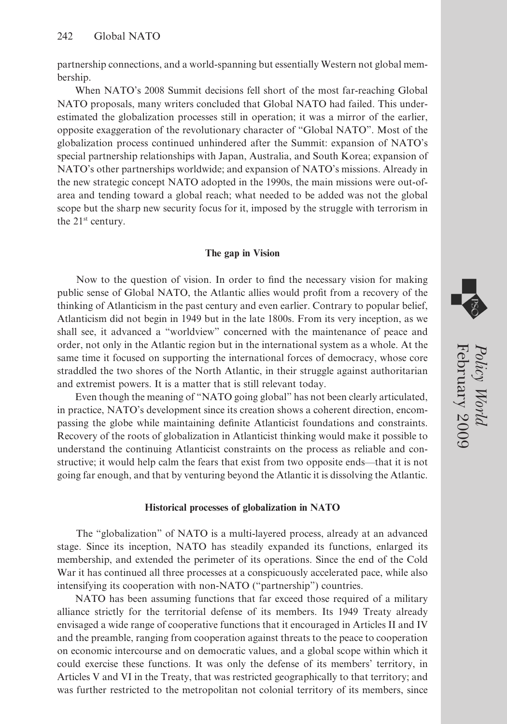partnership connections, and a world-spanning but essentially Western not global membership.

When NATO's 2008 Summit decisions fell short of the most far-reaching Global NATO proposals, many writers concluded that Global NATO had failed. This underestimated the globalization processes still in operation; it was a mirror of the earlier, opposite exaggeration of the revolutionary character of "Global NATO". Most of the globalization process continued unhindered after the Summit: expansion of NATO's special partnership relationships with Japan, Australia, and South Korea; expansion of NATO's other partnerships worldwide; and expansion of NATO's missions. Already in the new strategic concept NATO adopted in the 1990s, the main missions were out-ofarea and tending toward a global reach; what needed to be added was not the global scope but the sharp new security focus for it, imposed by the struggle with terrorism in the  $21<sup>st</sup>$  century.

#### **The gap in Vision**

Now to the question of vision. In order to find the necessary vision for making public sense of Global NATO, the Atlantic allies would profit from a recovery of the thinking of Atlanticism in the past century and even earlier. Contrary to popular belief, Atlanticism did not begin in 1949 but in the late 1800s. From its very inception, as we shall see, it advanced a "worldview" concerned with the maintenance of peace and order, not only in the Atlantic region but in the international system as a whole. At the same time it focused on supporting the international forces of democracy, whose core straddled the two shores of the North Atlantic, in their struggle against authoritarian and extremist powers. It is a matter that is still relevant today.

Even though the meaning of "NATO going global" has not been clearly articulated, in practice, NATO's development since its creation shows a coherent direction, encompassing the globe while maintaining definite Atlanticist foundations and constraints. Recovery of the roots of globalization in Atlanticist thinking would make it possible to understand the continuing Atlanticist constraints on the process as reliable and constructive; it would help calm the fears that exist from two opposite ends—that it is not going far enough, and that by venturing beyond the Atlantic it is dissolving the Atlantic.

#### **Historical processes of globalization in NATO**

The "globalization" of NATO is a multi-layered process, already at an advanced stage. Since its inception, NATO has steadily expanded its functions, enlarged its membership, and extended the perimeter of its operations. Since the end of the Cold War it has continued all three processes at a conspicuously accelerated pace, while also intensifying its cooperation with non-NATO ("partnership") countries.

NATO has been assuming functions that far exceed those required of a military alliance strictly for the territorial defense of its members. Its 1949 Treaty already envisaged a wide range of cooperative functions that it encouraged in Articles II and IV and the preamble, ranging from cooperation against threats to the peace to cooperation on economic intercourse and on democratic values, and a global scope within which it could exercise these functions. It was only the defense of its members' territory, in Articles V and VI in the Treaty, that was restricted geographically to that territory; and was further restricted to the metropolitan not colonial territory of its members, since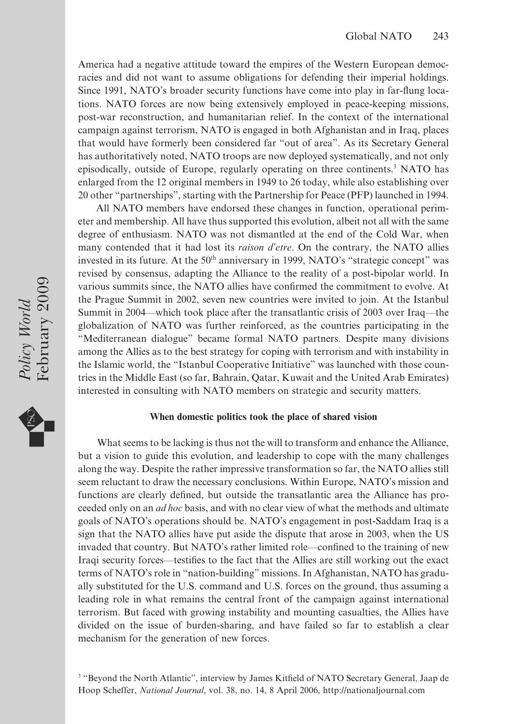America had a negative attitude toward the empires of the Western European democracies and did not want to assume obligations for defending their imperial holdings. Since 1991, NATO's broader security functions have come into play in far-flung locations. NATO forces are now being extensively employed in peace-keeping missions, post-war reconstruction, and humanitarian relief. In the context of the international campaign against terrorism, NATO is engaged in both Afghanistan and in Iraq, places that would have formerly been considered far "out of area". As its Secretary General has authoritatively noted, NATO troops are now deployed systematically, and not only episodically, outside of Europe, regularly operating on three continents.<sup>3</sup> NATO has enlarged from the 12 original members in 1949 to 26 today, while also establishing over 20 other "partnerships", starting with the Partnership for Peace (PFP) launched in 1994.

All NATO members have endorsed these changes in function, operational perimeter and membership. All have thus supported this evolution, albeit not all with the same degree of enthusiasm. NATO was not dismantled at the end of the Cold War, when many contended that it had lost its *raison d'etre*. On the contrary, the NATO allies invested in its future. At the 50<sup>th</sup> anniversary in 1999, NATO's "strategic concept" was revised by consensus, adapting the Alliance to the reality of a post-bipolar world. In various summits since, the NATO allies have confirmed the commitment to evolve. At the Prague Summit in 2002, seven new countries were invited to join. At the Istanbul Summit in 2004—which took place after the transatlantic crisis of 2003 over Iraq—the globalization of NATO was further reinforced, as the countries participating in the "Mediterranean dialogue" became formal NATO partners. Despite many divisions among the Allies as to the best strategy for coping with terrorism and with instability in the Islamic world, the "Istanbul Cooperative Initiative" was launched with those countries in the Middle East (so far, Bahrain, Qatar, Kuwait and the United Arab Emirates) interested in consulting with NATO members on strategic and security matters.

#### **When domestic politics took the place of shared vision**

What seems to be lacking is thus not the will to transform and enhance the Alliance, but a vision to guide this evolution, and leadership to cope with the many challenges along the way. Despite the rather impressive transformation so far, the NATO allies still seem reluctant to draw the necessary conclusions. Within Europe, NATO's mission and functions are clearly defined, but outside the transatlantic area the Alliance has proceeded only on an *ad hoc* basis, and with no clear view of what the methods and ultimate goals of NATO's operations should be. NATO's engagement in post-Saddam Iraq is a sign that the NATO allies have put aside the dispute that arose in 2003, when the US invaded that country. But NATO's rather limited role—confined to the training of new Iraqi security forces—testifies to the fact that the Allies are still working out the exact terms of NATO's role in "nation-building" missions. In Afghanistan, NATO has gradually substituted for the U.S. command and U.S. forces on the ground, thus assuming a leading role in what remains the central front of the campaign against international terrorism. But faced with growing instability and mounting casualties, the Allies have divided on the issue of burden-sharing, and have failed so far to establish a clear mechanism for the generation of new forces.

Policy World<br>February 2009 February 2009 *Policy World*



<sup>&</sup>lt;sup>3</sup> "Beyond the North Atlantic", interview by James Kitfield of NATO Secretary General, Jaap de Hoop Scheffer, *National Journal*, vol. 38, no. 14, 8 April 2006,<http://nationaljournal.com>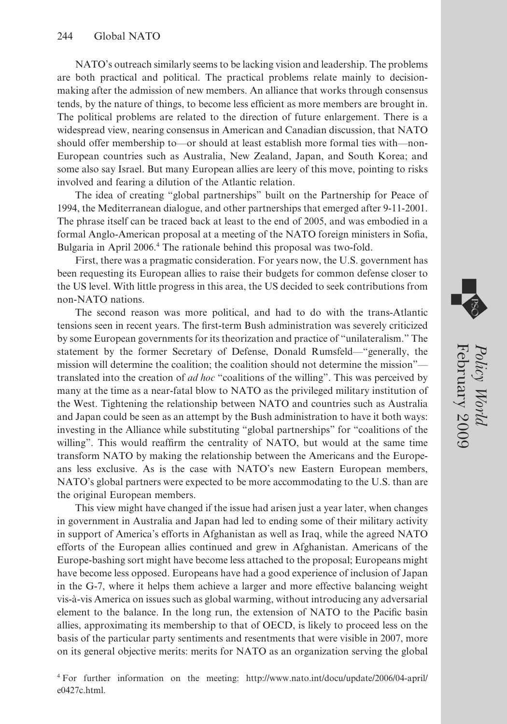NATO's outreach similarly seems to be lacking vision and leadership. The problems are both practical and political. The practical problems relate mainly to decisionmaking after the admission of new members. An alliance that works through consensus tends, by the nature of things, to become less efficient as more members are brought in. The political problems are related to the direction of future enlargement. There is a widespread view, nearing consensus in American and Canadian discussion, that NATO should offer membership to—or should at least establish more formal ties with—non-European countries such as Australia, New Zealand, Japan, and South Korea; and some also say Israel. But many European allies are leery of this move, pointing to risks involved and fearing a dilution of the Atlantic relation.

The idea of creating "global partnerships" built on the Partnership for Peace of 1994, the Mediterranean dialogue, and other partnerships that emerged after 9-11-2001. The phrase itself can be traced back at least to the end of 2005, and was embodied in a formal Anglo-American proposal at a meeting of the NATO foreign ministers in Sofia, Bulgaria in April 2006.<sup>4</sup> The rationale behind this proposal was two-fold.

First, there was a pragmatic consideration. For years now, the U.S. government has been requesting its European allies to raise their budgets for common defense closer to the US level. With little progress in this area, the US decided to seek contributions from non-NATO nations.

The second reason was more political, and had to do with the trans-Atlantic tensions seen in recent years. The first-term Bush administration was severely criticized by some European governments for its theorization and practice of "unilateralism." The statement by the former Secretary of Defense, Donald Rumsfeld—"generally, the mission will determine the coalition; the coalition should not determine the mission" translated into the creation of *ad hoc* "coalitions of the willing". This was perceived by many at the time as a near-fatal blow to NATO as the privileged military institution of the West. Tightening the relationship between NATO and countries such as Australia and Japan could be seen as an attempt by the Bush administration to have it both ways: investing in the Alliance while substituting "global partnerships" for "coalitions of the willing". This would reaffirm the centrality of NATO, but would at the same time transform NATO by making the relationship between the Americans and the Europeans less exclusive. As is the case with NATO's new Eastern European members, NATO's global partners were expected to be more accommodating to the U.S. than are the original European members.

This view might have changed if the issue had arisen just a year later, when changes in government in Australia and Japan had led to ending some of their military activity in support of America's efforts in Afghanistan as well as Iraq, while the agreed NATO efforts of the European allies continued and grew in Afghanistan. Americans of the Europe-bashing sort might have become less attached to the proposal; Europeans might have become less opposed. Europeans have had a good experience of inclusion of Japan in the G-7, where it helps them achieve a larger and more effective balancing weight vis-à-vis America on issues such as global warming, without introducing any adversarial element to the balance. In the long run, the extension of NATO to the Pacific basin allies, approximating its membership to that of OECD, is likely to proceed less on the basis of the particular party sentiments and resentments that were visible in 2007, more on its general objective merits: merits for NATO as an organization serving the global

<sup>4</sup> For further information on the meeting: [http://www.nato.int/docu/update/2006/04-april/](http://www.nato.int/docu/update/2006/04-april) e0427c.html.

February 2009

*Policy World*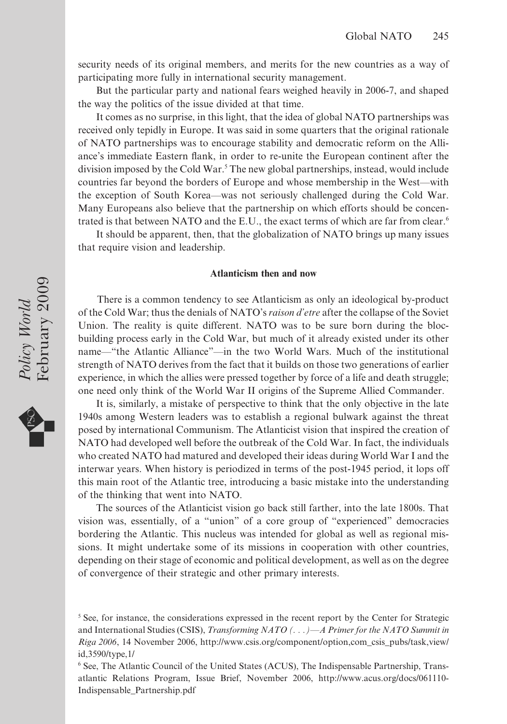security needs of its original members, and merits for the new countries as a way of participating more fully in international security management.

But the particular party and national fears weighed heavily in 2006-7, and shaped the way the politics of the issue divided at that time.

It comes as no surprise, in this light, that the idea of global NATO partnerships was received only tepidly in Europe. It was said in some quarters that the original rationale of NATO partnerships was to encourage stability and democratic reform on the Alliance's immediate Eastern flank, in order to re-unite the European continent after the division imposed by the Cold War.<sup>5</sup> The new global partnerships, instead, would include countries far beyond the borders of Europe and whose membership in the West—with the exception of South Korea—was not seriously challenged during the Cold War. Many Europeans also believe that the partnership on which efforts should be concentrated is that between NATO and the E.U., the exact terms of which are far from clear.6

It should be apparent, then, that the globalization of NATO brings up many issues that require vision and leadership.

#### **Atlanticism then and now**

There is a common tendency to see Atlanticism as only an ideological by-product of the Cold War; thus the denials of NATO's *raison d'etre* after the collapse of the Soviet Union. The reality is quite different. NATO was to be sure born during the blocbuilding process early in the Cold War, but much of it already existed under its other name—"the Atlantic Alliance"—in the two World Wars. Much of the institutional strength of NATO derives from the fact that it builds on those two generations of earlier experience, in which the allies were pressed together by force of a life and death struggle; one need only think of the World War II origins of the Supreme Allied Commander.

It is, similarly, a mistake of perspective to think that the only objective in the late 1940s among Western leaders was to establish a regional bulwark against the threat posed by international Communism. The Atlanticist vision that inspired the creation of NATO had developed well before the outbreak of the Cold War. In fact, the individuals who created NATO had matured and developed their ideas during World War I and the interwar years. When history is periodized in terms of the post-1945 period, it lops off this main root of the Atlantic tree, introducing a basic mistake into the understanding of the thinking that went into NATO.

The sources of the Atlanticist vision go back still farther, into the late 1800s. That vision was, essentially, of a "union" of a core group of "experienced" democracies bordering the Atlantic. This nucleus was intended for global as well as regional missions. It might undertake some of its missions in cooperation with other countries, depending on their stage of economic and political development, as well as on the degree of convergence of their strategic and other primary interests.

Policy World<br>February 2009 [February](http://www.acus.org/docs/061110-February) 2009 *Policy World*



<sup>&</sup>lt;sup>5</sup> See, for instance, the considerations expressed in the recent report by the Center for Strategic and International Studies (CSIS), *Transforming NATO (. . .)—A Primer for the NATO Summit in Riga 2006*, 14 November 2006, [http://www.csis.org/component/option,c](http://www.csis.org/component/option)om\_csis\_pubs/task,view/ id,3590/type,1/

<sup>6</sup> See, The Atlantic Council of the United States (ACUS), The Indispensable Partnership, Transatlantic Relations Program, Issue Brief, November 2006, [http://www.acus.org/docs/061110-](http://www.acus.org/docs/061110-February) Indispensable\_Partnership.pdf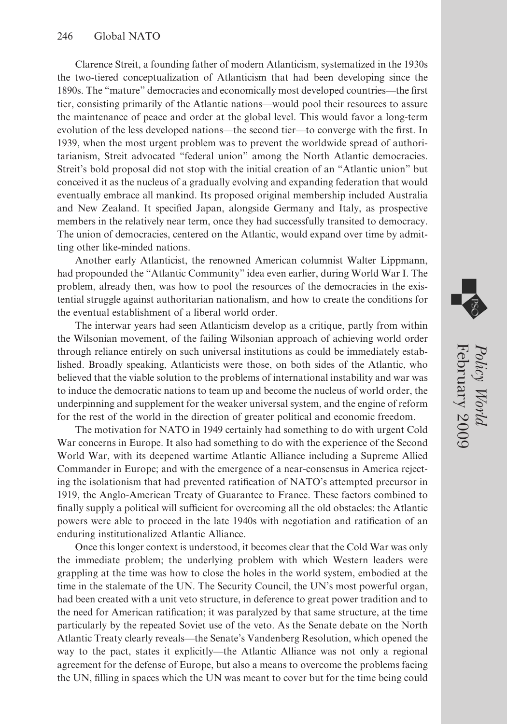Clarence Streit, a founding father of modern Atlanticism, systematized in the 1930s the two-tiered conceptualization of Atlanticism that had been developing since the 1890s. The "mature" democracies and economically most developed countries—the first tier, consisting primarily of the Atlantic nations—would pool their resources to assure the maintenance of peace and order at the global level. This would favor a long-term evolution of the less developed nations—the second tier—to converge with the first. In 1939, when the most urgent problem was to prevent the worldwide spread of authoritarianism, Streit advocated "federal union" among the North Atlantic democracies. Streit's bold proposal did not stop with the initial creation of an "Atlantic union" but conceived it as the nucleus of a gradually evolving and expanding federation that would eventually embrace all mankind. Its proposed original membership included Australia and New Zealand. It specified Japan, alongside Germany and Italy, as prospective members in the relatively near term, once they had successfully transited to democracy. The union of democracies, centered on the Atlantic, would expand over time by admitting other like-minded nations.

Another early Atlanticist, the renowned American columnist Walter Lippmann, had propounded the "Atlantic Community" idea even earlier, during World War I. The problem, already then, was how to pool the resources of the democracies in the existential struggle against authoritarian nationalism, and how to create the conditions for the eventual establishment of a liberal world order.

The interwar years had seen Atlanticism develop as a critique, partly from within the Wilsonian movement, of the failing Wilsonian approach of achieving world order through reliance entirely on such universal institutions as could be immediately established. Broadly speaking, Atlanticists were those, on both sides of the Atlantic, who believed that the viable solution to the problems of international instability and war was to induce the democratic nations to team up and become the nucleus of world order, the underpinning and supplement for the weaker universal system, and the engine of reform for the rest of the world in the direction of greater political and economic freedom.

The motivation for NATO in 1949 certainly had something to do with urgent Cold War concerns in Europe. It also had something to do with the experience of the Second World War, with its deepened wartime Atlantic Alliance including a Supreme Allied Commander in Europe; and with the emergence of a near-consensus in America rejecting the isolationism that had prevented ratification of NATO's attempted precursor in 1919, the Anglo-American Treaty of Guarantee to France. These factors combined to finally supply a political will sufficient for overcoming all the old obstacles: the Atlantic powers were able to proceed in the late 1940s with negotiation and ratification of an enduring institutionalized Atlantic Alliance.

Once this longer context is understood, it becomes clear that the Cold War was only the immediate problem; the underlying problem with which Western leaders were grappling at the time was how to close the holes in the world system, embodied at the time in the stalemate of the UN. The Security Council, the UN's most powerful organ, had been created with a unit veto structure, in deference to great power tradition and to the need for American ratification; it was paralyzed by that same structure, at the time particularly by the repeated Soviet use of the veto. As the Senate debate on the North Atlantic Treaty clearly reveals—the Senate's Vandenberg Resolution, which opened the way to the pact, states it explicitly—the Atlantic Alliance was not only a regional agreement for the defense of Europe, but also a means to overcome the problems facing the UN, filling in spaces which the UN was meant to cover but for the time being could

February 2009

*Policy World*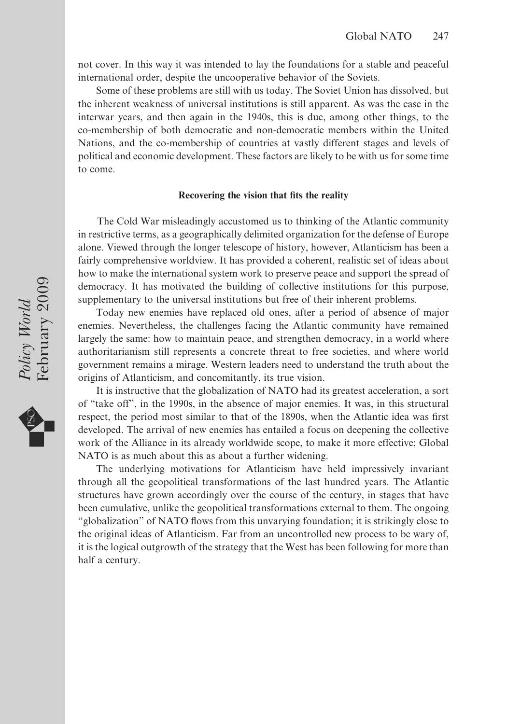not cover. In this way it was intended to lay the foundations for a stable and peaceful international order, despite the uncooperative behavior of the Soviets.

Some of these problems are still with us today. The Soviet Union has dissolved, but the inherent weakness of universal institutions is still apparent. As was the case in the interwar years, and then again in the 1940s, this is due, among other things, to the co-membership of both democratic and non-democratic members within the United Nations, and the co-membership of countries at vastly different stages and levels of political and economic development. These factors are likely to be with us for some time to come.

#### **Recovering the vision that fits the reality**

The Cold War misleadingly accustomed us to thinking of the Atlantic community in restrictive terms, as a geographically delimited organization for the defense of Europe alone. Viewed through the longer telescope of history, however, Atlanticism has been a fairly comprehensive worldview. It has provided a coherent, realistic set of ideas about how to make the international system work to preserve peace and support the spread of democracy. It has motivated the building of collective institutions for this purpose, supplementary to the universal institutions but free of their inherent problems.

Today new enemies have replaced old ones, after a period of absence of major enemies. Nevertheless, the challenges facing the Atlantic community have remained largely the same: how to maintain peace, and strengthen democracy, in a world where authoritarianism still represents a concrete threat to free societies, and where world government remains a mirage. Western leaders need to understand the truth about the origins of Atlanticism, and concomitantly, its true vision.

It is instructive that the globalization of NATO had its greatest acceleration, a sort of "take off", in the 1990s, in the absence of major enemies. It was, in this structural respect, the period most similar to that of the 1890s, when the Atlantic idea was first developed. The arrival of new enemies has entailed a focus on deepening the collective work of the Alliance in its already worldwide scope, to make it more effective; Global NATO is as much about this as about a further widening.

The underlying motivations for Atlanticism have held impressively invariant through all the geopolitical transformations of the last hundred years. The Atlantic structures have grown accordingly over the course of the century, in stages that have been cumulative, unlike the geopolitical transformations external to them. The ongoing "globalization" of NATO flows from this unvarying foundation; it is strikingly close to the original ideas of Atlanticism. Far from an uncontrolled new process to be wary of, it is the logical outgrowth of the strategy that the West has been following for more than half a century.

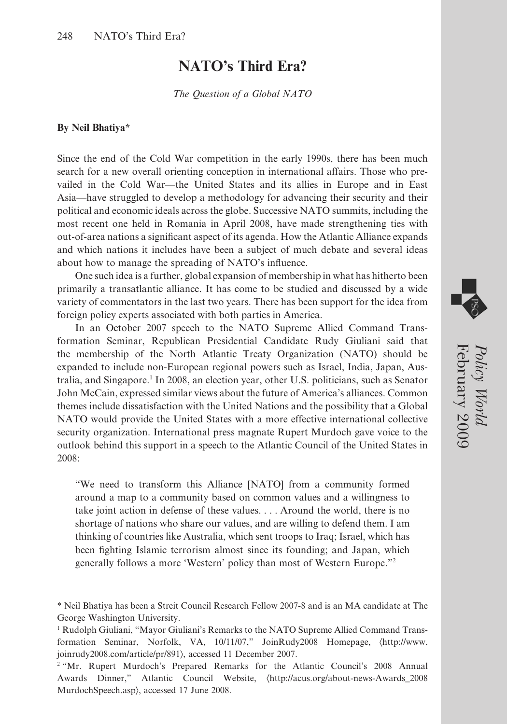### **NATO's Third Era?**

*The Question of a Global NATO*

#### **By Neil Bhatiya\***

Since the end of the Cold War competition in the early 1990s, there has been much search for a new overall orienting conception in international affairs. Those who prevailed in the Cold War—the United States and its allies in Europe and in East Asia—have struggled to develop a methodology for advancing their security and their political and economic ideals across the globe. Successive NATO summits, including the most recent one held in Romania in April 2008, have made strengthening ties with out-of-area nations a significant aspect of its agenda. How the Atlantic Alliance expands and which nations it includes have been a subject of much debate and several ideas about how to manage the spreading of NATO's influence.

One such idea is a further, global expansion of membership in what has hitherto been primarily a transatlantic alliance. It has come to be studied and discussed by a wide variety of commentators in the last two years. There has been support for the idea from foreign policy experts associated with both parties in America.

In an October 2007 speech to the NATO Supreme Allied Command Transformation Seminar, Republican Presidential Candidate Rudy Giuliani said that the membership of the North Atlantic Treaty Organization (NATO) should be expanded to include non-European regional powers such as Israel, India, Japan, Australia, and Singapore.1 In 2008, an election year, other U.S. politicians, such as Senator John McCain, expressed similar views about the future of America's alliances. Common themes include dissatisfaction with the United Nations and the possibility that a Global NATO would provide the United States with a more effective international collective security organization. International press magnate Rupert Murdoch gave voice to the outlook behind this support in a speech to the Atlantic Council of the United States in 2008:

"We need to transform this Alliance [NATO] from a community formed around a map to a community based on common values and a willingness to take joint action in defense of these values.... Around the world, there is no shortage of nations who share our values, and are willing to defend them. I am thinking of countries like Australia, which sent troops to Iraq; Israel, which has been fighting Islamic terrorism almost since its founding; and Japan, which generally follows a more 'Western' policy than most of Western Europe."2

February 2009

*Policy World*

<sup>\*</sup> Neil Bhatiya has been a Streit Council Research Fellow 2007-8 and is an MA candidate at The George Washington University.

<sup>&</sup>lt;sup>1</sup> Rudolph Giuliani, "Mayor Giuliani's Remarks to the NATO Supreme Allied Command Transformation Seminar, Norfolk, VA, 10/11/07," JoinRudy2008 Homepage, 〈[http://www.](http://www) joinrudy2008.com/article/pr/891〉, accessed 11 December 2007.

<sup>&</sup>lt;sup>2</sup> "Mr. Rupert Murdoch's Prepared Remarks for the Atlantic Council's 2008 Annual Awards Dinner," Atlantic Council Website, 〈[http://acus.org/about-news-Awards\\_2008](http://acus.org/about-news-Awards_2008) MurdochSpeech.asp〉, accessed 17 June 2008.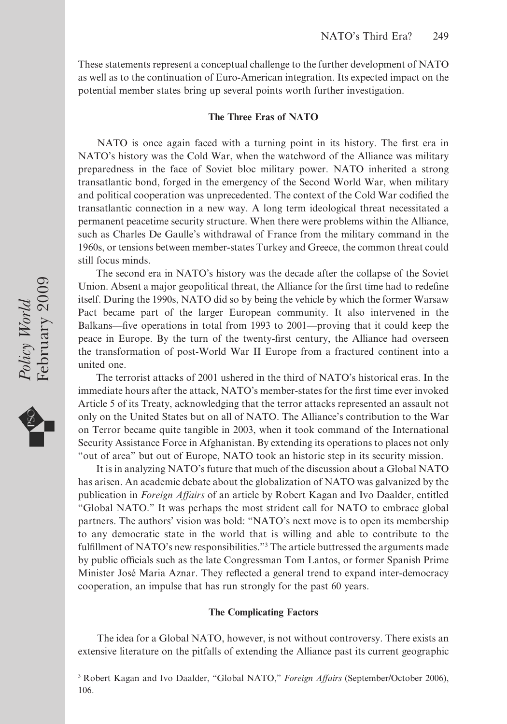These statements represent a conceptual challenge to the further development of NATO as well as to the continuation of Euro-American integration. Its expected impact on the potential member states bring up several points worth further investigation.

#### **The Three Eras of NATO**

NATO is once again faced with a turning point in its history. The first era in NATO's history was the Cold War, when the watchword of the Alliance was military preparedness in the face of Soviet bloc military power. NATO inherited a strong transatlantic bond, forged in the emergency of the Second World War, when military and political cooperation was unprecedented. The context of the Cold War codified the transatlantic connection in a new way. A long term ideological threat necessitated a permanent peacetime security structure. When there were problems within the Alliance, such as Charles De Gaulle's withdrawal of France from the military command in the 1960s, or tensions between member-states Turkey and Greece, the common threat could still focus minds.

The second era in NATO's history was the decade after the collapse of the Soviet Union. Absent a major geopolitical threat, the Alliance for the first time had to redefine itself. During the 1990s, NATO did so by being the vehicle by which the former Warsaw Pact became part of the larger European community. It also intervened in the Balkans—five operations in total from 1993 to 2001—proving that it could keep the peace in Europe. By the turn of the twenty-first century, the Alliance had overseen the transformation of post-World War II Europe from a fractured continent into a united one.

The terrorist attacks of 2001 ushered in the third of NATO's historical eras. In the immediate hours after the attack, NATO's member-states for the first time ever invoked Article 5 of its Treaty, acknowledging that the terror attacks represented an assault not only on the United States but on all of NATO. The Alliance's contribution to the War on Terror became quite tangible in 2003, when it took command of the International Security Assistance Force in Afghanistan. By extending its operations to places not only "out of area" but out of Europe, NATO took an historic step in its security mission.

It is in analyzing NATO's future that much of the discussion about a Global NATO has arisen. An academic debate about the globalization of NATO was galvanized by the publication in *Foreign Affairs* of an article by Robert Kagan and Ivo Daalder, entitled "Global NATO." It was perhaps the most strident call for NATO to embrace global partners. The authors' vision was bold: "NATO's next move is to open its membership to any democratic state in the world that is willing and able to contribute to the fulfillment of NATO's new responsibilities."<sup>3</sup> The article buttressed the arguments made by public officials such as the late Congressman Tom Lantos, or former Spanish Prime Minister José Maria Aznar. They reflected a general trend to expand inter-democracy cooperation, an impulse that has run strongly for the past 60 years.

#### **The Complicating Factors**

The idea for a Global NATO, however, is not without controversy. There exists an extensive literature on the pitfalls of extending the Alliance past its current geographic

Policy World<br>February 2009 February 2009 *Policy World*



<sup>3</sup> Robert Kagan and Ivo Daalder, "Global NATO," *Foreign Affairs* (September/October 2006), 106.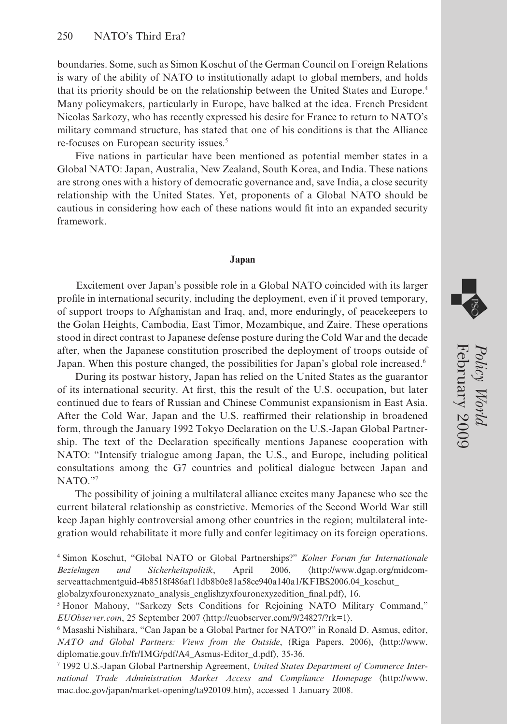boundaries. Some, such as Simon Koschut of the German Council on Foreign Relations is wary of the ability of NATO to institutionally adapt to global members, and holds that its priority should be on the relationship between the United States and Europe.4 Many policymakers, particularly in Europe, have balked at the idea. French President Nicolas Sarkozy, who has recently expressed his desire for France to return to NATO's military command structure, has stated that one of his conditions is that the Alliance re-focuses on European security issues.<sup>5</sup>

Five nations in particular have been mentioned as potential member states in a Global NATO: Japan, Australia, New Zealand, South Korea, and India. These nations are strong ones with a history of democratic governance and, save India, a close security relationship with the United States. Yet, proponents of a Global NATO should be cautious in considering how each of these nations would fit into an expanded security framework.

#### **Japan**

Excitement over Japan's possible role in a Global NATO coincided with its larger profile in international security, including the deployment, even if it proved temporary, of support troops to Afghanistan and Iraq, and, more enduringly, of peacekeepers to the Golan Heights, Cambodia, East Timor, Mozambique, and Zaire. These operations stood in direct contrast to Japanese defense posture during the Cold War and the decade after, when the Japanese constitution proscribed the deployment of troops outside of Japan. When this posture changed, the possibilities for Japan's global role increased.<sup>6</sup>

During its postwar history, Japan has relied on the United States as the guarantor of its international security. At first, this the result of the U.S. occupation, but later continued due to fears of Russian and Chinese Communist expansionism in East Asia. After the Cold War, Japan and the U.S. reaffirmed their relationship in broadened form, through the January 1992 Tokyo Declaration on the U.S.-Japan Global Partnership. The text of the Declaration specifically mentions Japanese cooperation with NATO: "Intensify trialogue among Japan, the U.S., and Europe, including political consultations among the G7 countries and political dialogue between Japan and NATO."7

The possibility of joining a multilateral alliance excites many Japanese who see the current bilateral relationship as constrictive. Memories of the Second World War still keep Japan highly controversial among other countries in the region; multilateral integration would rehabilitate it more fully and confer legitimacy on its foreign operations.

<sup>4</sup> Simon Koschut, "Global NATO or Global Partnerships?" *Kolner Forum fur Internationale Beziehugen und Sicherheitspolitik*, April 2006, 〈[http://www.dgap.org/mi](http://www.dgap.org/midcom-serveattachmentguid-4b8518f486af11db8b0e81a58ce940a140a1/KFIBS2006.04_koschut_)dcom[serveattachmentguid-4b8518f486af11db8b0e81a58ce940a140a1/KFIBS2006.04\\_koschut\\_](http://www.dgap.org/midcom-serveattachmentguid-4b8518f486af11db8b0e81a58ce940a140a1/KFIBS2006.04_koschut_) globalzyxfouronexyznato\_analysis\_englishzyxfouronexyzedition\_final.pdf〉, 16.

<sup>5</sup> Honor Mahony, "Sarkozy Sets Conditions for Rejoining NATO Military Command," *EUObserver.com*, 25 September 2007 〈[http://euobserver.com/9/24827/?rk=1](http://euobserver.com/9/24827/?rk=1%E2%8C%AA)〉.

<sup>6</sup> Masashi Nishihara, "Can Japan be a Global Partner for NATO?" in Ronald D. Asmus, editor, *NATO and Global Partners: Views from the Outside*, (Riga Papers, 2006), 〈[http://www.](http://www) diplomatie.gouv.fr/fr/IMG/pdf/A4\_Asmus-Editor\_d.pdf〉, 35-36.

<sup>7</sup> 1992 U.S.-Japan Global Partnership Agreement, *United States Department of Commerce International Trade Administration Market Access and Compliance Homepage* 〈[http://www.](http://www) mac.doc.gov/japan/market-opening/ta920109.htm〉, accessed 1 January 2008.

February 2009

*Policy World*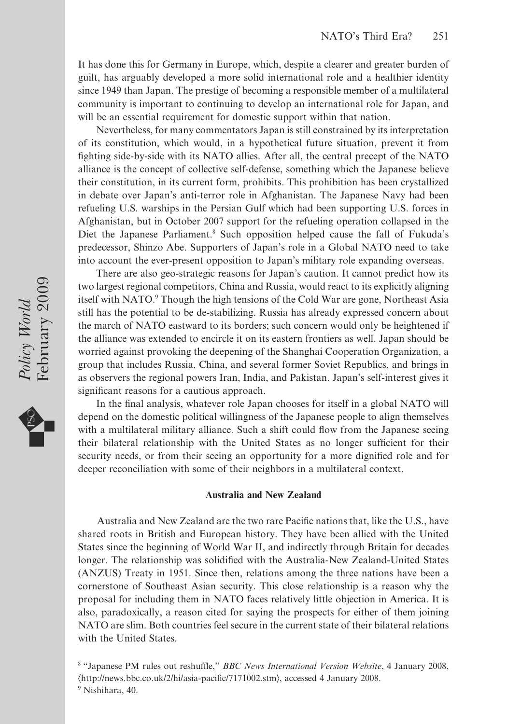It has done this for Germany in Europe, which, despite a clearer and greater burden of guilt, has arguably developed a more solid international role and a healthier identity since 1949 than Japan. The prestige of becoming a responsible member of a multilateral community is important to continuing to develop an international role for Japan, and will be an essential requirement for domestic support within that nation.

Nevertheless, for many commentators Japan is still constrained by its interpretation of its constitution, which would, in a hypothetical future situation, prevent it from fighting side-by-side with its NATO allies. After all, the central precept of the NATO alliance is the concept of collective self-defense, something which the Japanese believe their constitution, in its current form, prohibits. This prohibition has been crystallized in debate over Japan's anti-terror role in Afghanistan. The Japanese Navy had been refueling U.S. warships in the Persian Gulf which had been supporting U.S. forces in Afghanistan, but in October 2007 support for the refueling operation collapsed in the Diet the Japanese Parliament.<sup>8</sup> Such opposition helped cause the fall of Fukuda's predecessor, Shinzo Abe. Supporters of Japan's role in a Global NATO need to take into account the ever-present opposition to Japan's military role expanding overseas.

There are also geo-strategic reasons for Japan's caution. It cannot predict how its two largest regional competitors, China and Russia, would react to its explicitly aligning itself with NATO.<sup>9</sup> Though the high tensions of the Cold War are gone, Northeast Asia still has the potential to be de-stabilizing. Russia has already expressed concern about the march of NATO eastward to its borders; such concern would only be heightened if the alliance was extended to encircle it on its eastern frontiers as well. Japan should be worried against provoking the deepening of the Shanghai Cooperation Organization, a group that includes Russia, China, and several former Soviet Republics, and brings in as observers the regional powers Iran, India, and Pakistan. Japan's self-interest gives it significant reasons for a cautious approach.

In the final analysis, whatever role Japan chooses for itself in a global NATO will depend on the domestic political willingness of the Japanese people to align themselves with a multilateral military alliance. Such a shift could flow from the Japanese seeing their bilateral relationship with the United States as no longer sufficient for their security needs, or from their seeing an opportunity for a more dignified role and for deeper reconciliation with some of their neighbors in a multilateral context.

#### **Australia and New Zealand**

Australia and New Zealand are the two rare Pacific nations that, like the U.S., have shared roots in British and European history. They have been allied with the United States since the beginning of World War II, and indirectly through Britain for decades longer. The relationship was solidified with the Australia-New Zealand-United States (ANZUS) Treaty in 1951. Since then, relations among the three nations have been a cornerstone of Southeast Asian security. This close relationship is a reason why the proposal for including them in NATO faces relatively little objection in America. It is also, paradoxically, a reason cited for saying the prospects for either of them joining NATO are slim. Both countries feel secure in the current state of their bilateral relations with the United States.

<sup>8</sup> "Japanese PM rules out reshuffle," *BBC News International Version Website*, 4 January 2008, 〈[http://news.bbc.co.uk/2/hi/asia-pacific/7171002.stm](http://news.bbc.co.uk/2/hi/asia-pacific/7171002.stm%E2%8C%AA)〉, accessed 4 January 2008. <sup>9</sup> Nishihara, 40.

Policy World<br>February 2009 February 2009 *Policy World*

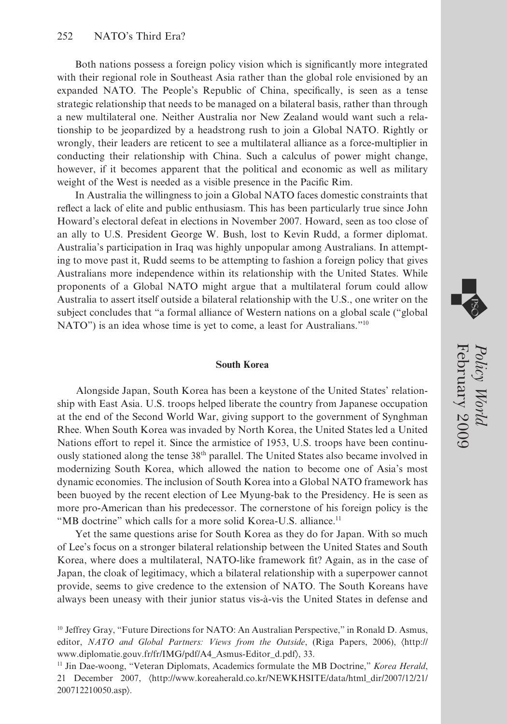Both nations possess a foreign policy vision which is significantly more integrated with their regional role in Southeast Asia rather than the global role envisioned by an expanded NATO. The People's Republic of China, specifically, is seen as a tense strategic relationship that needs to be managed on a bilateral basis, rather than through a new multilateral one. Neither Australia nor New Zealand would want such a relationship to be jeopardized by a headstrong rush to join a Global NATO. Rightly or wrongly, their leaders are reticent to see a multilateral alliance as a force-multiplier in conducting their relationship with China. Such a calculus of power might change, however, if it becomes apparent that the political and economic as well as military weight of the West is needed as a visible presence in the Pacific Rim.

In Australia the willingness to join a Global NATO faces domestic constraints that reflect a lack of elite and public enthusiasm. This has been particularly true since John Howard's electoral defeat in elections in November 2007. Howard, seen as too close of an ally to U.S. President George W. Bush, lost to Kevin Rudd, a former diplomat. Australia's participation in Iraq was highly unpopular among Australians. In attempting to move past it, Rudd seems to be attempting to fashion a foreign policy that gives Australians more independence within its relationship with the United States. While proponents of a Global NATO might argue that a multilateral forum could allow Australia to assert itself outside a bilateral relationship with the U.S., one writer on the subject concludes that "a formal alliance of Western nations on a global scale ("global NATO") is an idea whose time is yet to come, a least for Australians."<sup>10</sup>

#### **South Korea**

Alongside Japan, South Korea has been a keystone of the United States' relationship with East Asia. U.S. troops helped liberate the country from Japanese occupation at the end of the Second World War, giving support to the government of Synghman Rhee. When South Korea was invaded by North Korea, the United States led a United Nations effort to repel it. Since the armistice of 1953, U.S. troops have been continuously stationed along the tense 38<sup>th</sup> parallel. The United States also became involved in modernizing South Korea, which allowed the nation to become one of Asia's most dynamic economies. The inclusion of South Korea into a Global NATO framework has been buoyed by the recent election of Lee Myung-bak to the Presidency. He is seen as more pro-American than his predecessor. The cornerstone of his foreign policy is the "MB doctrine" which calls for a more solid Korea-U.S. alliance.<sup>11</sup>

Yet the same questions arise for South Korea as they do for Japan. With so much of Lee's focus on a stronger bilateral relationship between the United States and South Korea, where does a multilateral, NATO-like framework fit? Again, as in the case of Japan, the cloak of legitimacy, which a bilateral relationship with a superpower cannot provide, seems to give credence to the extension of NATO. The South Koreans have always been uneasy with their junior status vis-à-vis the United States in defense and



<sup>&</sup>lt;sup>10</sup> Jeffrey Gray, "Future Directions for NATO: An Australian Perspective," in Ronald D. Asmus, editor, *NATO and Global Partners: Views from the Outside*, (Riga Papers, 2006), 〈[http://](http://www.diplomatie.gouv.fr/fr/IMG/pdf/A4_Asmus-Editor_d.pdf%E2%8C%AA) [www.diplomatie.gouv.fr/fr/IMG/pdf/A4\\_Asmus-Editor\\_d.pdf](http://www.diplomatie.gouv.fr/fr/IMG/pdf/A4_Asmus-Editor_d.pdf%E2%8C%AA)〉, 33.

<sup>11</sup> Jin Dae-woong, "Veteran Diplomats, Academics formulate the MB Doctrine," *Korea Herald*, 21 December 2007, 〈[http://www.koreaherald.co.kr/NEWKHSITE/data/html\\_dir/2007/12/21/](http://www.koreaherald.co.kr/NEWKHSITE/data/html_dir/2007/12/21) 200712210050.asp〉.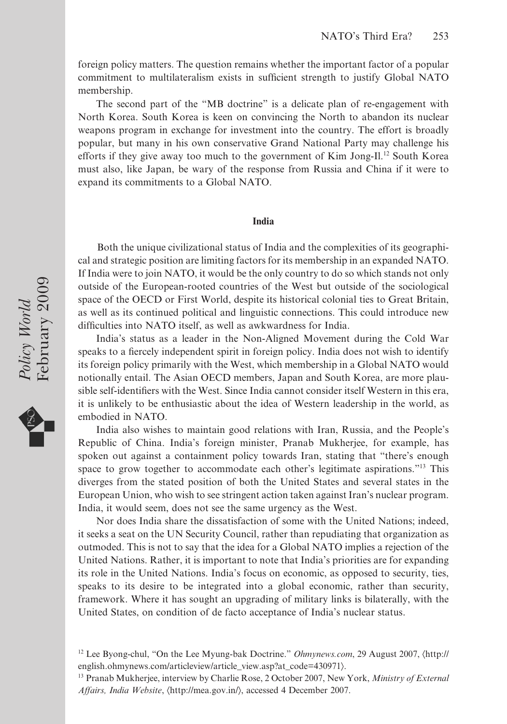foreign policy matters. The question remains whether the important factor of a popular commitment to multilateralism exists in sufficient strength to justify Global NATO membership.

The second part of the "MB doctrine" is a delicate plan of re-engagement with North Korea. South Korea is keen on convincing the North to abandon its nuclear weapons program in exchange for investment into the country. The effort is broadly popular, but many in his own conservative Grand National Party may challenge his efforts if they give away too much to the government of Kim Jong-Il.<sup>12</sup> South Korea must also, like Japan, be wary of the response from Russia and China if it were to expand its commitments to a Global NATO.

#### **India**

Both the unique civilizational status of India and the complexities of its geographical and strategic position are limiting factors for its membership in an expanded NATO. If India were to join NATO, it would be the only country to do so which stands not only outside of the European-rooted countries of the West but outside of the sociological space of the OECD or First World, despite its historical colonial ties to Great Britain, as well as its continued political and linguistic connections. This could introduce new difficulties into NATO itself, as well as awkwardness for India.

India's status as a leader in the Non-Aligned Movement during the Cold War speaks to a fiercely independent spirit in foreign policy. India does not wish to identify its foreign policy primarily with the West, which membership in a Global NATO would notionally entail. The Asian OECD members, Japan and South Korea, are more plausible self-identifiers with the West. Since India cannot consider itself Western in this era, it is unlikely to be enthusiastic about the idea of Western leadership in the world, as embodied in NATO.

India also wishes to maintain good relations with Iran, Russia, and the People's Republic of China. India's foreign minister, Pranab Mukherjee, for example, has spoken out against a containment policy towards Iran, stating that "there's enough space to grow together to accommodate each other's legitimate aspirations."13 This diverges from the stated position of both the United States and several states in the European Union, who wish to see stringent action taken against Iran's nuclear program. India, it would seem, does not see the same urgency as the West.

Nor does India share the dissatisfaction of some with the United Nations; indeed, it seeks a seat on the UN Security Council, rather than repudiating that organization as outmoded. This is not to say that the idea for a Global NATO implies a rejection of the United Nations. Rather, it is important to note that India's priorities are for expanding its role in the United Nations. India's focus on economic, as opposed to security, ties, speaks to its desire to be integrated into a global economic, rather than security, framework. Where it has sought an upgrading of military links is bilaterally, with the United States, on condition of de facto acceptance of India's nuclear status.



<sup>12</sup> Lee Byong-chul, "On the Lee Myung-bak Doctrine." *Ohmynews.com*, 29 August 2007, 〈[http://](http://english.ohmynews.com/articleview/article_view.asp?at_code=430971%E2%8C%AA) [english.ohmynews.com/articleview/article\\_view.asp?at\\_code=430971](http://english.ohmynews.com/articleview/article_view.asp?at_code=430971%E2%8C%AA)).

<sup>13</sup> Pranab Mukherjee, interview by Charlie Rose, 2 October 2007, New York, *Ministry of External Affairs, India Website*, 〈[http://mea.gov.in/](http://mea.gov.in/%E2%8C%AA)〉, accessed 4 December 2007.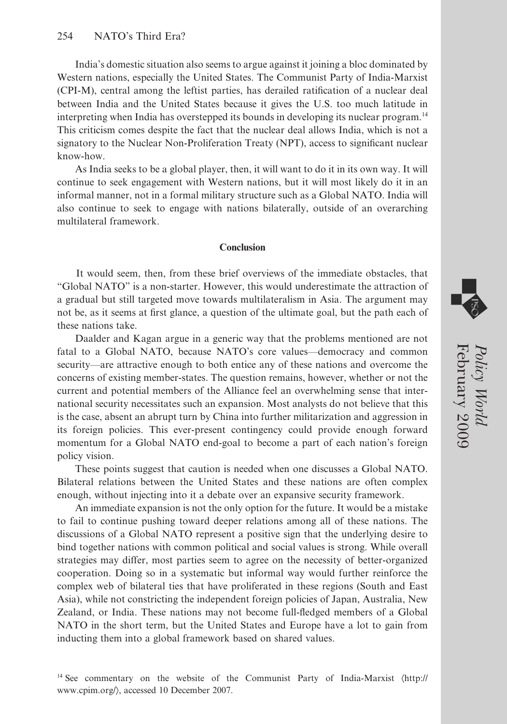India's domestic situation also seems to argue against it joining a bloc dominated by Western nations, especially the United States. The Communist Party of India-Marxist (CPI-M), central among the leftist parties, has derailed ratification of a nuclear deal between India and the United States because it gives the U.S. too much latitude in interpreting when India has overstepped its bounds in developing its nuclear program.14 This criticism comes despite the fact that the nuclear deal allows India, which is not a signatory to the Nuclear Non-Proliferation Treaty (NPT), access to significant nuclear know-how.

As India seeks to be a global player, then, it will want to do it in its own way. It will continue to seek engagement with Western nations, but it will most likely do it in an informal manner, not in a formal military structure such as a Global NATO. India will also continue to seek to engage with nations bilaterally, outside of an overarching multilateral framework.

#### **Conclusion**

It would seem, then, from these brief overviews of the immediate obstacles, that "Global NATO" is a non-starter. However, this would underestimate the attraction of a gradual but still targeted move towards multilateralism in Asia. The argument may not be, as it seems at first glance, a question of the ultimate goal, but the path each of these nations take.

Daalder and Kagan argue in a generic way that the problems mentioned are not fatal to a Global NATO, because NATO's core values—democracy and common security—are attractive enough to both entice any of these nations and overcome the concerns of existing member-states. The question remains, however, whether or not the current and potential members of the Alliance feel an overwhelming sense that international security necessitates such an expansion. Most analysts do not believe that this is the case, absent an abrupt turn by China into further militarization and aggression in its foreign policies. This ever-present contingency could provide enough forward momentum for a Global NATO end-goal to become a part of each nation's foreign policy vision.

These points suggest that caution is needed when one discusses a Global NATO. Bilateral relations between the United States and these nations are often complex enough, without injecting into it a debate over an expansive security framework.

An immediate expansion is not the only option for the future. It would be a mistake to fail to continue pushing toward deeper relations among all of these nations. The discussions of a Global NATO represent a positive sign that the underlying desire to bind together nations with common political and social values is strong. While overall strategies may differ, most parties seem to agree on the necessity of better-organized cooperation. Doing so in a systematic but informal way would further reinforce the complex web of bilateral ties that have proliferated in these regions (South and East Asia), while not constricting the independent foreign policies of Japan, Australia, New Zealand, or India. These nations may not become full-fledged members of a Global NATO in the short term, but the United States and Europe have a lot to gain from inducting them into a global framework based on shared values.

<sup>14</sup> See commentary on the website of the Communist Party of India-Marxist 〈[http://](http://www.cpim.org/%E2%8C%AA) [www.cpim.org/](http://www.cpim.org/%E2%8C%AA)〉, accessed 10 December 2007.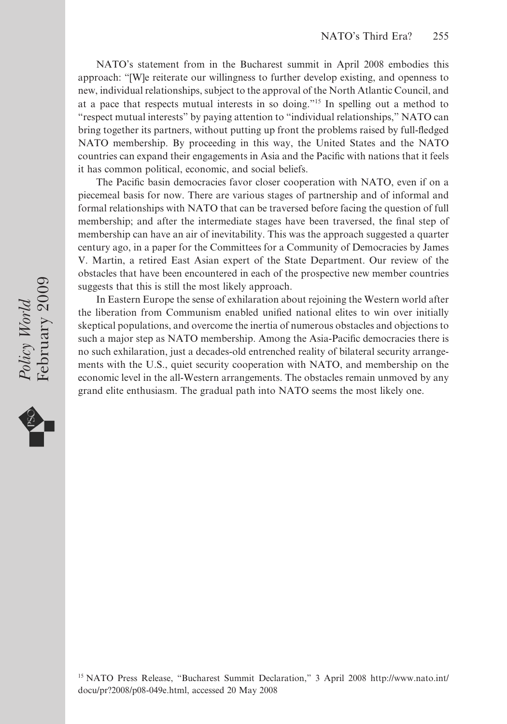NATO's statement from in the Bucharest summit in April 2008 embodies this approach: "[W]e reiterate our willingness to further develop existing, and openness to new, individual relationships, subject to the approval of the North Atlantic Council, and at a pace that respects mutual interests in so doing."15 In spelling out a method to "respect mutual interests" by paying attention to "individual relationships," NATO can bring together its partners, without putting up front the problems raised by full-fledged NATO membership. By proceeding in this way, the United States and the NATO countries can expand their engagements in Asia and the Pacific with nations that it feels it has common political, economic, and social beliefs.

The Pacific basin democracies favor closer cooperation with NATO, even if on a piecemeal basis for now. There are various stages of partnership and of informal and formal relationships with NATO that can be traversed before facing the question of full membership; and after the intermediate stages have been traversed, the final step of membership can have an air of inevitability. This was the approach suggested a quarter century ago, in a paper for the Committees for a Community of Democracies by James V. Martin, a retired East Asian expert of the State Department. Our review of the obstacles that have been encountered in each of the prospective new member countries suggests that this is still the most likely approach.

In Eastern Europe the sense of exhilaration about rejoining the Western world after the liberation from Communism enabled unified national elites to win over initially skeptical populations, and overcome the inertia of numerous obstacles and objections to such a major step as NATO membership. Among the Asia-Pacific democracies there is no such exhilaration, just a decades-old entrenched reality of bilateral security arrangements with the U.S., quiet security cooperation with NATO, and membership on the economic level in the all-Western arrangements. The obstacles remain unmoved by any grand elite enthusiasm. The gradual path into NATO seems the most likely one.





<sup>15</sup> NATO Press Release, "Bucharest Summit Declaration," 3 April 2008 [http://www.nato.int/](http://www.nato.int) docu/pr?2008/p08-049e.html, accessed 20 May 2008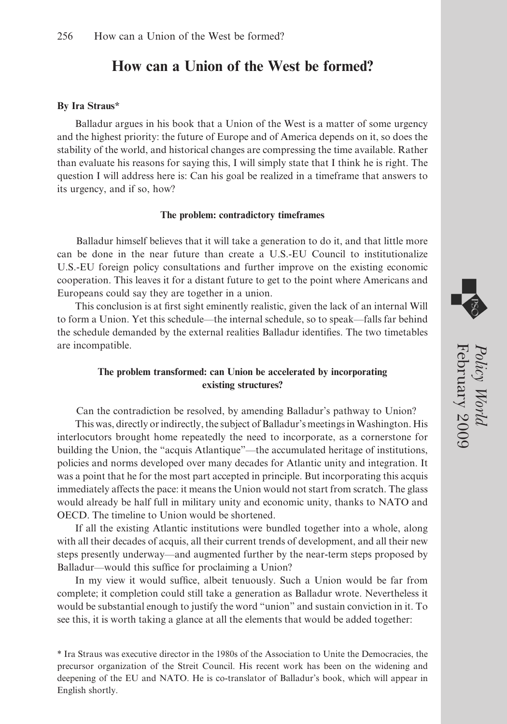### **How can a Union of the West be formed?**

#### **By Ira Straus\***

Balladur argues in his book that a Union of the West is a matter of some urgency and the highest priority: the future of Europe and of America depends on it, so does the stability of the world, and historical changes are compressing the time available. Rather than evaluate his reasons for saying this, I will simply state that I think he is right. The question I will address here is: Can his goal be realized in a timeframe that answers to its urgency, and if so, how?

#### **The problem: contradictory timeframes**

Balladur himself believes that it will take a generation to do it, and that little more can be done in the near future than create a U.S.-EU Council to institutionalize U.S.-EU foreign policy consultations and further improve on the existing economic cooperation. This leaves it for a distant future to get to the point where Americans and Europeans could say they are together in a union.

This conclusion is at first sight eminently realistic, given the lack of an internal Will to form a Union. Yet this schedule—the internal schedule, so to speak—falls far behind the schedule demanded by the external realities Balladur identifies. The two timetables are incompatible.

### **The problem transformed: can Union be accelerated by incorporating existing structures?**

Can the contradiction be resolved, by amending Balladur's pathway to Union?

This was, directly or indirectly, the subject of Balladur's meetings inWashington. His interlocutors brought home repeatedly the need to incorporate, as a cornerstone for building the Union, the "acquis Atlantique"—the accumulated heritage of institutions, policies and norms developed over many decades for Atlantic unity and integration. It was a point that he for the most part accepted in principle. But incorporating this acquis immediately affects the pace: it means the Union would not start from scratch. The glass would already be half full in military unity and economic unity, thanks to NATO and OECD. The timeline to Union would be shortened.

If all the existing Atlantic institutions were bundled together into a whole, along with all their decades of acquis, all their current trends of development, and all their new steps presently underway—and augmented further by the near-term steps proposed by Balladur—would this suffice for proclaiming a Union?

In my view it would suffice, albeit tenuously. Such a Union would be far from complete; it completion could still take a generation as Balladur wrote. Nevertheless it would be substantial enough to justify the word "union" and sustain conviction in it. To see this, it is worth taking a glance at all the elements that would be added together:

\* Ira Straus was executive director in the 1980s of the Association to Unite the Democracies, the precursor organization of the Streit Council. His recent work has been on the widening and deepening of the EU and NATO. He is co-translator of Balladur's book, which will appear in English shortly.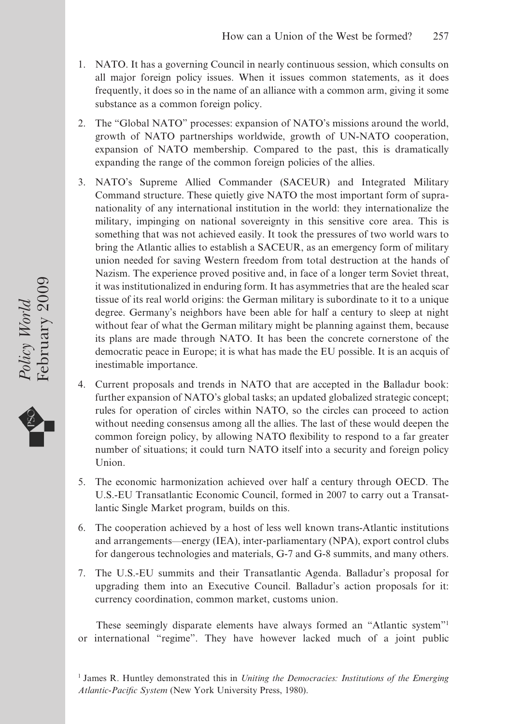- 1. NATO. It has a governing Council in nearly continuous session, which consults on all major foreign policy issues. When it issues common statements, as it does frequently, it does so in the name of an alliance with a common arm, giving it some substance as a common foreign policy.
- 2. The "Global NATO" processes: expansion of NATO's missions around the world, growth of NATO partnerships worldwide, growth of UN-NATO cooperation, expansion of NATO membership. Compared to the past, this is dramatically expanding the range of the common foreign policies of the allies.
- 3. NATO's Supreme Allied Commander (SACEUR) and Integrated Military Command structure. These quietly give NATO the most important form of supranationality of any international institution in the world: they internationalize the military, impinging on national sovereignty in this sensitive core area. This is something that was not achieved easily. It took the pressures of two world wars to bring the Atlantic allies to establish a SACEUR, as an emergency form of military union needed for saving Western freedom from total destruction at the hands of Nazism. The experience proved positive and, in face of a longer term Soviet threat, it was institutionalized in enduring form. It has asymmetries that are the healed scar tissue of its real world origins: the German military is subordinate to it to a unique degree. Germany's neighbors have been able for half a century to sleep at night without fear of what the German military might be planning against them, because its plans are made through NATO. It has been the concrete cornerstone of the democratic peace in Europe; it is what has made the EU possible. It is an acquis of inestimable importance.
- 4. Current proposals and trends in NATO that are accepted in the Balladur book: further expansion of NATO's global tasks; an updated globalized strategic concept; rules for operation of circles within NATO, so the circles can proceed to action without needing consensus among all the allies. The last of these would deepen the common foreign policy, by allowing NATO flexibility to respond to a far greater number of situations; it could turn NATO itself into a security and foreign policy Union.
- 5. The economic harmonization achieved over half a century through OECD. The U.S.-EU Transatlantic Economic Council, formed in 2007 to carry out a Transatlantic Single Market program, builds on this.
- 6. The cooperation achieved by a host of less well known trans-Atlantic institutions and arrangements—energy (IEA), inter-parliamentary (NPA), export control clubs for dangerous technologies and materials, G-7 and G-8 summits, and many others.
- 7. The U.S.-EU summits and their Transatlantic Agenda. Balladur's proposal for upgrading them into an Executive Council. Balladur's action proposals for it: currency coordination, common market, customs union.

These seemingly disparate elements have always formed an "Atlantic system"1 or international "regime". They have however lacked much of a joint public



<sup>1</sup> James R. Huntley demonstrated this in *Uniting the Democracies: Institutions of the Emerging Atlantic-Pacific System* (New York University Press, 1980).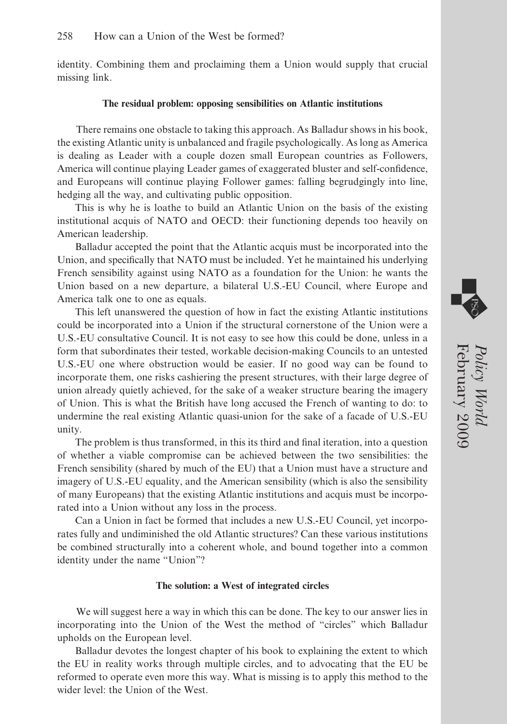identity. Combining them and proclaiming them a Union would supply that crucial missing link.

#### **The residual problem: opposing sensibilities on Atlantic institutions**

There remains one obstacle to taking this approach. As Balladur shows in his book, the existing Atlantic unity is unbalanced and fragile psychologically. As long as America is dealing as Leader with a couple dozen small European countries as Followers, America will continue playing Leader games of exaggerated bluster and self-confidence, and Europeans will continue playing Follower games: falling begrudgingly into line, hedging all the way, and cultivating public opposition.

This is why he is loathe to build an Atlantic Union on the basis of the existing institutional acquis of NATO and OECD: their functioning depends too heavily on American leadership.

Balladur accepted the point that the Atlantic acquis must be incorporated into the Union, and specifically that NATO must be included. Yet he maintained his underlying French sensibility against using NATO as a foundation for the Union: he wants the Union based on a new departure, a bilateral U.S.-EU Council, where Europe and America talk one to one as equals.

This left unanswered the question of how in fact the existing Atlantic institutions could be incorporated into a Union if the structural cornerstone of the Union were a U.S.-EU consultative Council. It is not easy to see how this could be done, unless in a form that subordinates their tested, workable decision-making Councils to an untested U.S.-EU one where obstruction would be easier. If no good way can be found to incorporate them, one risks cashiering the present structures, with their large degree of union already quietly achieved, for the sake of a weaker structure bearing the imagery of Union. This is what the British have long accused the French of wanting to do: to undermine the real existing Atlantic quasi-union for the sake of a facade of U.S.-EU unity.

The problem is thus transformed, in this its third and final iteration, into a question of whether a viable compromise can be achieved between the two sensibilities: the French sensibility (shared by much of the EU) that a Union must have a structure and imagery of U.S.-EU equality, and the American sensibility (which is also the sensibility of many Europeans) that the existing Atlantic institutions and acquis must be incorporated into a Union without any loss in the process.

Can a Union in fact be formed that includes a new U.S.-EU Council, yet incorporates fully and undiminished the old Atlantic structures? Can these various institutions be combined structurally into a coherent whole, and bound together into a common identity under the name "Union"?

#### **The solution: a West of integrated circles**

We will suggest here a way in which this can be done. The key to our answer lies in incorporating into the Union of the West the method of "circles" which Balladur upholds on the European level.

Balladur devotes the longest chapter of his book to explaining the extent to which the EU in reality works through multiple circles, and to advocating that the EU be reformed to operate even more this way. What is missing is to apply this method to the wider level: the Union of the West.

February 2009

*Policy World*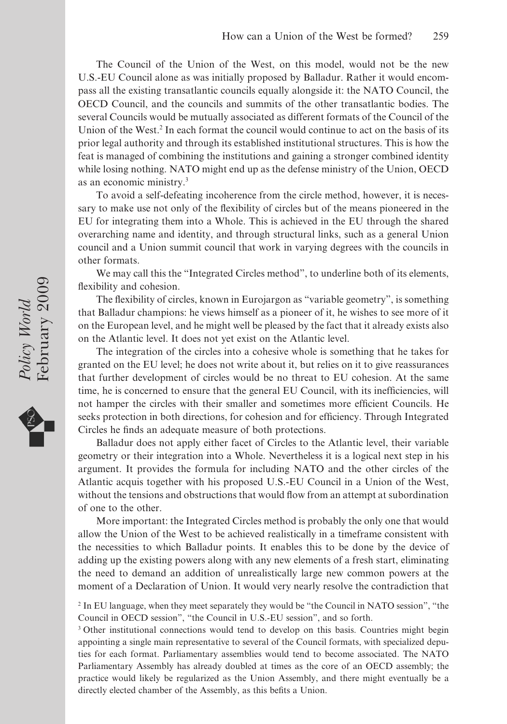The Council of the Union of the West, on this model, would not be the new U.S.-EU Council alone as was initially proposed by Balladur. Rather it would encompass all the existing transatlantic councils equally alongside it: the NATO Council, the OECD Council, and the councils and summits of the other transatlantic bodies. The several Councils would be mutually associated as different formats of the Council of the Union of the West.<sup>2</sup> In each format the council would continue to act on the basis of its prior legal authority and through its established institutional structures. This is how the feat is managed of combining the institutions and gaining a stronger combined identity while losing nothing. NATO might end up as the defense ministry of the Union, OECD as an economic ministry.3

To avoid a self-defeating incoherence from the circle method, however, it is necessary to make use not only of the flexibility of circles but of the means pioneered in the EU for integrating them into a Whole. This is achieved in the EU through the shared overarching name and identity, and through structural links, such as a general Union council and a Union summit council that work in varying degrees with the councils in other formats.

We may call this the "Integrated Circles method", to underline both of its elements, flexibility and cohesion.

The flexibility of circles, known in Eurojargon as "variable geometry", is something that Balladur champions: he views himself as a pioneer of it, he wishes to see more of it on the European level, and he might well be pleased by the fact that it already exists also on the Atlantic level. It does not yet exist on the Atlantic level.

The integration of the circles into a cohesive whole is something that he takes for granted on the EU level; he does not write about it, but relies on it to give reassurances that further development of circles would be no threat to EU cohesion. At the same time, he is concerned to ensure that the general EU Council, with its inefficiencies, will not hamper the circles with their smaller and sometimes more efficient Councils. He seeks protection in both directions, for cohesion and for efficiency. Through Integrated Circles he finds an adequate measure of both protections.

Balladur does not apply either facet of Circles to the Atlantic level, their variable geometry or their integration into a Whole. Nevertheless it is a logical next step in his argument. It provides the formula for including NATO and the other circles of the Atlantic acquis together with his proposed U.S.-EU Council in a Union of the West, without the tensions and obstructions that would flow from an attempt at subordination of one to the other.

More important: the Integrated Circles method is probably the only one that would allow the Union of the West to be achieved realistically in a timeframe consistent with the necessities to which Balladur points. It enables this to be done by the device of adding up the existing powers along with any new elements of a fresh start, eliminating the need to demand an addition of unrealistically large new common powers at the moment of a Declaration of Union. It would very nearly resolve the contradiction that

<sup>2</sup> In EU language, when they meet separately they would be "the Council in NATO session", "the Council in OECD session", "the Council in U.S.-EU session", and so forth.

<sup>3</sup> Other institutional connections would tend to develop on this basis. Countries might begin appointing a single main representative to several of the Council formats, with specialized deputies for each format. Parliamentary assemblies would tend to become associated. The NATO Parliamentary Assembly has already doubled at times as the core of an OECD assembly; the practice would likely be regularized as the Union Assembly, and there might eventually be a directly elected chamber of the Assembly, as this befits a Union.

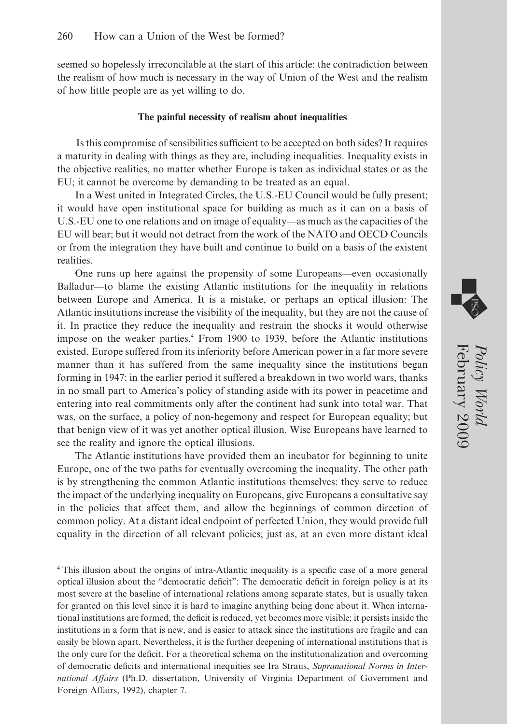seemed so hopelessly irreconcilable at the start of this article: the contradiction between the realism of how much is necessary in the way of Union of the West and the realism of how little people are as yet willing to do.

### **The painful necessity of realism about inequalities**

Is this compromise of sensibilities sufficient to be accepted on both sides? It requires a maturity in dealing with things as they are, including inequalities. Inequality exists in the objective realities, no matter whether Europe is taken as individual states or as the EU; it cannot be overcome by demanding to be treated as an equal.

In a West united in Integrated Circles, the U.S.-EU Council would be fully present; it would have open institutional space for building as much as it can on a basis of U.S.-EU one to one relations and on image of equality—as much as the capacities of the EU will bear; but it would not detract from the work of the NATO and OECD Councils or from the integration they have built and continue to build on a basis of the existent realities.

One runs up here against the propensity of some Europeans—even occasionally Balladur—to blame the existing Atlantic institutions for the inequality in relations between Europe and America. It is a mistake, or perhaps an optical illusion: The Atlantic institutions increase the visibility of the inequality, but they are not the cause of it. In practice they reduce the inequality and restrain the shocks it would otherwise impose on the weaker parties.4 From 1900 to 1939, before the Atlantic institutions existed, Europe suffered from its inferiority before American power in a far more severe manner than it has suffered from the same inequality since the institutions began forming in 1947: in the earlier period it suffered a breakdown in two world wars, thanks in no small part to America's policy of standing aside with its power in peacetime and entering into real commitments only after the continent had sunk into total war. That was, on the surface, a policy of non-hegemony and respect for European equality; but that benign view of it was yet another optical illusion. Wise Europeans have learned to see the reality and ignore the optical illusions.

The Atlantic institutions have provided them an incubator for beginning to unite Europe, one of the two paths for eventually overcoming the inequality. The other path is by strengthening the common Atlantic institutions themselves: they serve to reduce the impact of the underlying inequality on Europeans, give Europeans a consultative say in the policies that affect them, and allow the beginnings of common direction of common policy. At a distant ideal endpoint of perfected Union, they would provide full equality in the direction of all relevant policies; just as, at an even more distant ideal

<sup>4</sup> This illusion about the origins of intra-Atlantic inequality is a specific case of a more general optical illusion about the "democratic deficit": The democratic deficit in foreign policy is at its most severe at the baseline of international relations among separate states, but is usually taken for granted on this level since it is hard to imagine anything being done about it. When international institutions are formed, the deficit is reduced, yet becomes more visible; it persists inside the institutions in a form that is new, and is easier to attack since the institutions are fragile and can easily be blown apart. Nevertheless, it is the further deepening of international institutions that is the only cure for the deficit. For a theoretical schema on the institutionalization and overcoming of democratic deficits and international inequities see Ira Straus, *Supranational Norms in International Affairs* (Ph.D. dissertation, University of Virginia Department of Government and Foreign Affairs, 1992), chapter 7.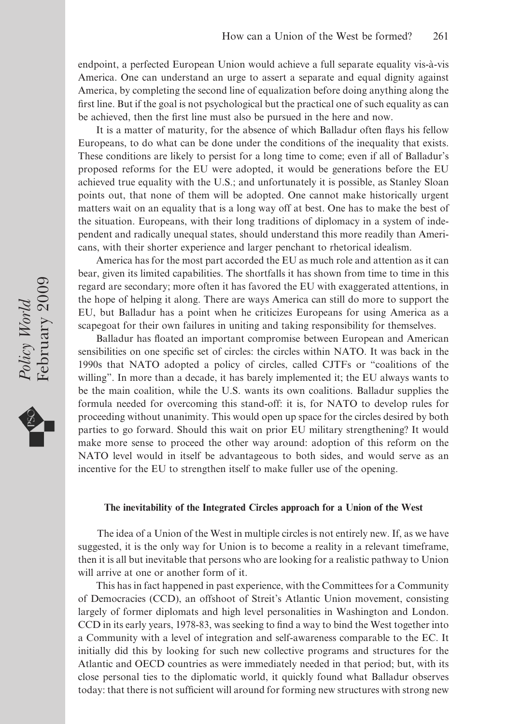endpoint, a perfected European Union would achieve a full separate equality vis-à-vis America. One can understand an urge to assert a separate and equal dignity against America, by completing the second line of equalization before doing anything along the first line. But if the goal is not psychological but the practical one of such equality as can be achieved, then the first line must also be pursued in the here and now.

It is a matter of maturity, for the absence of which Balladur often flays his fellow Europeans, to do what can be done under the conditions of the inequality that exists. These conditions are likely to persist for a long time to come; even if all of Balladur's proposed reforms for the EU were adopted, it would be generations before the EU achieved true equality with the U.S.; and unfortunately it is possible, as Stanley Sloan points out, that none of them will be adopted. One cannot make historically urgent matters wait on an equality that is a long way off at best. One has to make the best of the situation. Europeans, with their long traditions of diplomacy in a system of independent and radically unequal states, should understand this more readily than Americans, with their shorter experience and larger penchant to rhetorical idealism.

America has for the most part accorded the EU as much role and attention as it can bear, given its limited capabilities. The shortfalls it has shown from time to time in this regard are secondary; more often it has favored the EU with exaggerated attentions, in the hope of helping it along. There are ways America can still do more to support the EU, but Balladur has a point when he criticizes Europeans for using America as a scapegoat for their own failures in uniting and taking responsibility for themselves.

Balladur has floated an important compromise between European and American sensibilities on one specific set of circles: the circles within NATO. It was back in the 1990s that NATO adopted a policy of circles, called CJTFs or "coalitions of the willing". In more than a decade, it has barely implemented it; the EU always wants to be the main coalition, while the U.S. wants its own coalitions. Balladur supplies the formula needed for overcoming this stand-off: it is, for NATO to develop rules for proceeding without unanimity. This would open up space for the circles desired by both parties to go forward. Should this wait on prior EU military strengthening? It would make more sense to proceed the other way around: adoption of this reform on the NATO level would in itself be advantageous to both sides, and would serve as an incentive for the EU to strengthen itself to make fuller use of the opening.

#### **The inevitability of the Integrated Circles approach for a Union of the West**

The idea of a Union of the West in multiple circles is not entirely new. If, as we have suggested, it is the only way for Union is to become a reality in a relevant timeframe, then it is all but inevitable that persons who are looking for a realistic pathway to Union will arrive at one or another form of it.

This has in fact happened in past experience, with the Committees for a Community of Democracies (CCD), an offshoot of Streit's Atlantic Union movement, consisting largely of former diplomats and high level personalities in Washington and London. CCD in its early years, 1978-83, was seeking to find a way to bind the West together into a Community with a level of integration and self-awareness comparable to the EC. It initially did this by looking for such new collective programs and structures for the Atlantic and OECD countries as were immediately needed in that period; but, with its close personal ties to the diplomatic world, it quickly found what Balladur observes today: that there is not sufficient will around for forming new structures with strong new

Policy World<br>February 2009 February 2009 *Policy World*

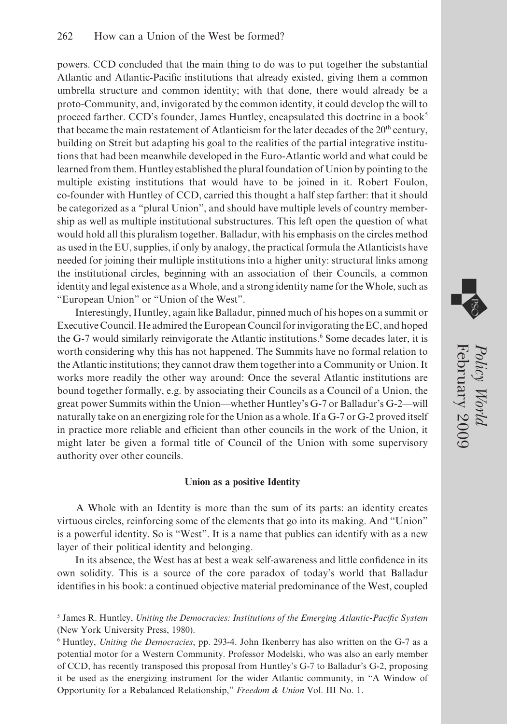powers. CCD concluded that the main thing to do was to put together the substantial Atlantic and Atlantic-Pacific institutions that already existed, giving them a common umbrella structure and common identity; with that done, there would already be a proto-Community, and, invigorated by the common identity, it could develop the will to proceed farther. CCD's founder, James Huntley, encapsulated this doctrine in a book<sup>5</sup> that became the main restatement of Atlanticism for the later decades of the 20<sup>th</sup> century, building on Streit but adapting his goal to the realities of the partial integrative institutions that had been meanwhile developed in the Euro-Atlantic world and what could be learned from them. Huntley established the plural foundation of Union by pointing to the multiple existing institutions that would have to be joined in it. Robert Foulon, co-founder with Huntley of CCD, carried this thought a half step farther: that it should be categorized as a "plural Union", and should have multiple levels of country membership as well as multiple institutional substructures. This left open the question of what would hold all this pluralism together. Balladur, with his emphasis on the circles method as used in the EU, supplies, if only by analogy, the practical formula the Atlanticists have needed for joining their multiple institutions into a higher unity: structural links among the institutional circles, beginning with an association of their Councils, a common identity and legal existence as a Whole, and a strong identity name for the Whole, such as "European Union" or "Union of the West".

Interestingly, Huntley, again like Balladur, pinned much of his hopes on a summit or Executive Council. He admired the European Council for invigorating the EC, and hoped the G-7 would similarly reinvigorate the Atlantic institutions.<sup>6</sup> Some decades later, it is worth considering why this has not happened. The Summits have no formal relation to the Atlantic institutions; they cannot draw them together into a Community or Union. It works more readily the other way around: Once the several Atlantic institutions are bound together formally, e.g. by associating their Councils as a Council of a Union, the great power Summits within the Union—whether Huntley's G-7 or Balladur's G-2—will naturally take on an energizing role for the Union as a whole. If a G-7 or G-2 proved itself in practice more reliable and efficient than other councils in the work of the Union, it might later be given a formal title of Council of the Union with some supervisory authority over other councils.

#### **Union as a positive Identity**

A Whole with an Identity is more than the sum of its parts: an identity creates virtuous circles, reinforcing some of the elements that go into its making. And "Union" is a powerful identity. So is "West". It is a name that publics can identify with as a new layer of their political identity and belonging.

In its absence, the West has at best a weak self-awareness and little confidence in its own solidity. This is a source of the core paradox of today's world that Balladur identifies in his book: a continued objective material predominance of the West, coupled

<sup>5</sup> James R. Huntley, *Uniting the Democracies: Institutions of the Emerging Atlantic-Pacific System* (New York University Press, 1980).

<sup>6</sup> Huntley, *Uniting the Democracies*, pp. 293-4. John Ikenberry has also written on the G-7 as a potential motor for a Western Community. Professor Modelski, who was also an early member of CCD, has recently transposed this proposal from Huntley's G-7 to Balladur's G-2, proposing it be used as the energizing instrument for the wider Atlantic community, in "A Window of Opportunity for a Rebalanced Relationship," *Freedom & Union* Vol. III No. 1.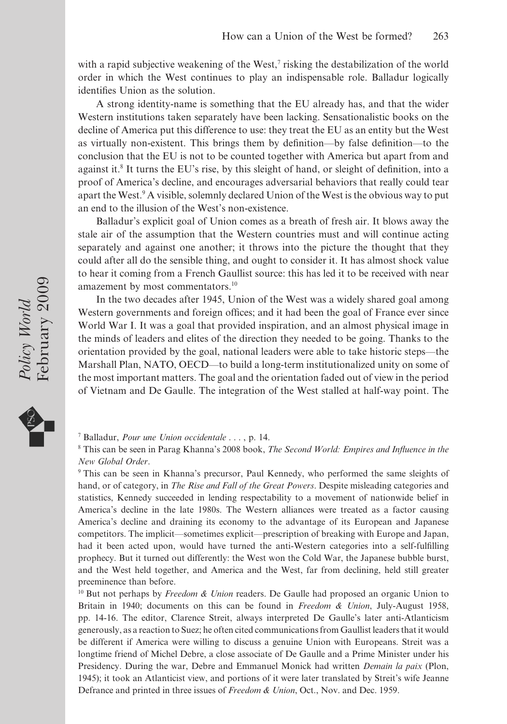with a rapid subjective weakening of the West, $\tau$  risking the destabilization of the world order in which the West continues to play an indispensable role. Balladur logically identifies Union as the solution.

A strong identity-name is something that the EU already has, and that the wider Western institutions taken separately have been lacking. Sensationalistic books on the decline of America put this difference to use: they treat the EU as an entity but the West as virtually non-existent. This brings them by definition—by false definition—to the conclusion that the EU is not to be counted together with America but apart from and against it.<sup>8</sup> It turns the EU's rise, by this sleight of hand, or sleight of definition, into a proof of America's decline, and encourages adversarial behaviors that really could tear apart the West.<sup>9</sup> A visible, solemnly declared Union of the West is the obvious way to put an end to the illusion of the West's non-existence.

Balladur's explicit goal of Union comes as a breath of fresh air. It blows away the stale air of the assumption that the Western countries must and will continue acting separately and against one another; it throws into the picture the thought that they could after all do the sensible thing, and ought to consider it. It has almost shock value to hear it coming from a French Gaullist source: this has led it to be received with near amazement by most commentators.<sup>10</sup>

In the two decades after 1945, Union of the West was a widely shared goal among Western governments and foreign offices; and it had been the goal of France ever since World War I. It was a goal that provided inspiration, and an almost physical image in the minds of leaders and elites of the direction they needed to be going. Thanks to the orientation provided by the goal, national leaders were able to take historic steps—the Marshall Plan, NATO, OECD—to build a long-term institutionalized unity on some of the most important matters. The goal and the orientation faded out of view in the period of Vietnam and De Gaulle. The integration of the West stalled at half-way point. The

<sup>9</sup> This can be seen in Khanna's precursor, Paul Kennedy, who performed the same sleights of hand, or of category, in *The Rise and Fall of the Great Powers*. Despite misleading categories and statistics, Kennedy succeeded in lending respectability to a movement of nationwide belief in America's decline in the late 1980s. The Western alliances were treated as a factor causing America's decline and draining its economy to the advantage of its European and Japanese competitors. The implicit—sometimes explicit—prescription of breaking with Europe and Japan, had it been acted upon, would have turned the anti-Western categories into a self-fulfilling prophecy. But it turned out differently: the West won the Cold War, the Japanese bubble burst, and the West held together, and America and the West, far from declining, held still greater preeminence than before.

<sup>10</sup> But not perhaps by *Freedom & Union* readers. De Gaulle had proposed an organic Union to Britain in 1940; documents on this can be found in *Freedom & Union*, July-August 1958, pp. 14-16. The editor, Clarence Streit, always interpreted De Gaulle's later anti-Atlanticism generously, as a reaction to Suez; he often cited communications from Gaullist leaders that it would be different if America were willing to discuss a genuine Union with Europeans. Streit was a longtime friend of Michel Debre, a close associate of De Gaulle and a Prime Minister under his Presidency. During the war, Debre and Emmanuel Monick had written *Demain la paix* (Plon, 1945); it took an Atlanticist view, and portions of it were later translated by Streit's wife Jeanne Defrance and printed in three issues of *Freedom & Union*, Oct., Nov. and Dec. 1959.

<sup>7</sup> Balladur, *Pour une Union occidentale* . . . , p. 14.

<sup>8</sup> This can be seen in Parag Khanna's 2008 book, *The Second World: Empires and Influence in the New Global Order*.